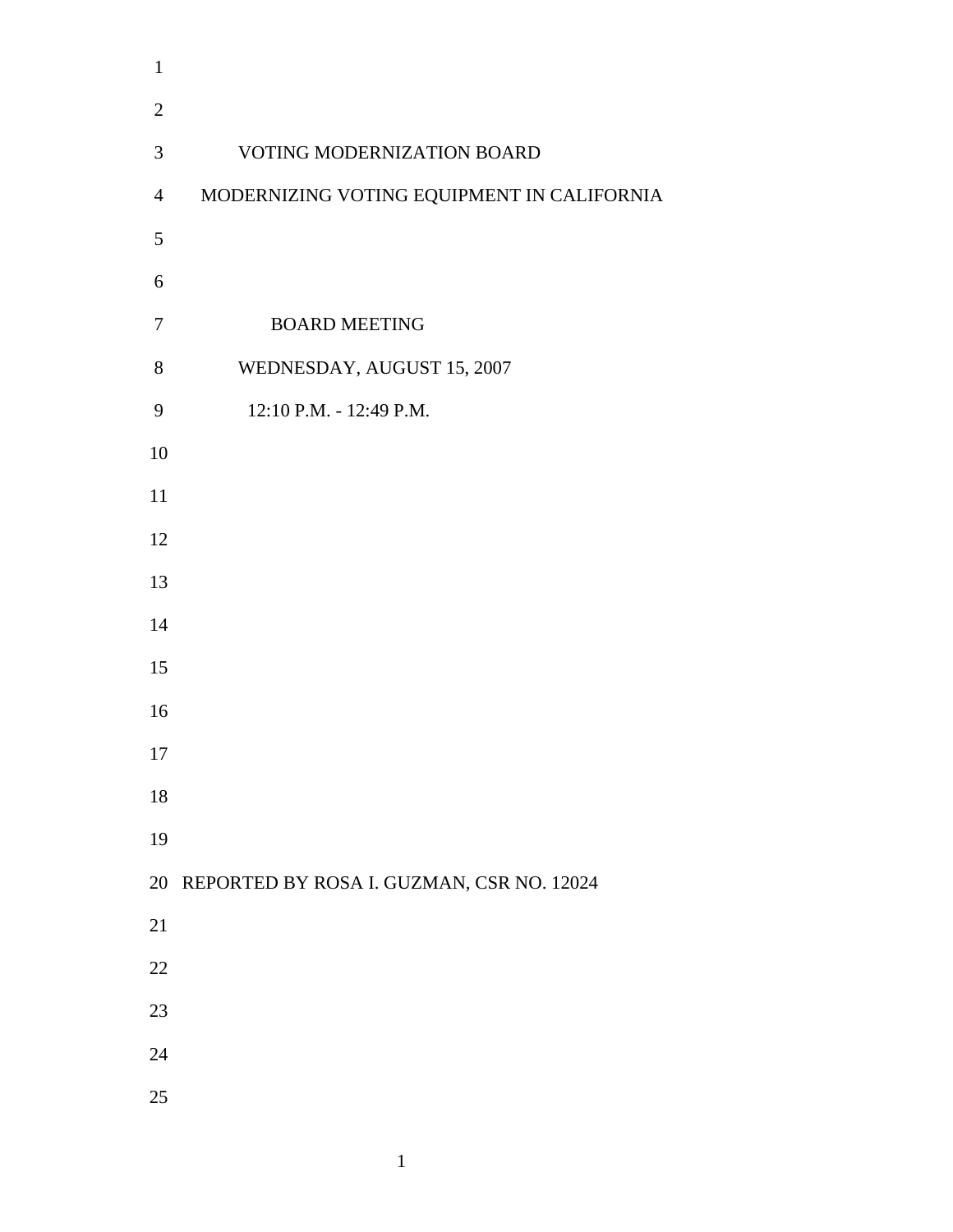| $\mathbf{1}$   |                                            |
|----------------|--------------------------------------------|
| $\overline{2}$ |                                            |
| $\mathfrak{Z}$ | <b>VOTING MODERNIZATION BOARD</b>          |
| $\overline{4}$ | MODERNIZING VOTING EQUIPMENT IN CALIFORNIA |
| 5              |                                            |
| 6              |                                            |
| $\tau$         | <b>BOARD MEETING</b>                       |
| 8              | WEDNESDAY, AUGUST 15, 2007                 |
| 9              | 12:10 P.M. - 12:49 P.M.                    |
| 10             |                                            |
| $11\,$         |                                            |
| 12             |                                            |
| 13             |                                            |
| 14             |                                            |
| 15             |                                            |
| 16             |                                            |
| 17             |                                            |
| 18             |                                            |
| 19             |                                            |
| 20             | REPORTED BY ROSA I. GUZMAN, CSR NO. 12024  |
| 21             |                                            |
| 22             |                                            |
| 23             |                                            |
| 24             |                                            |
| 25             |                                            |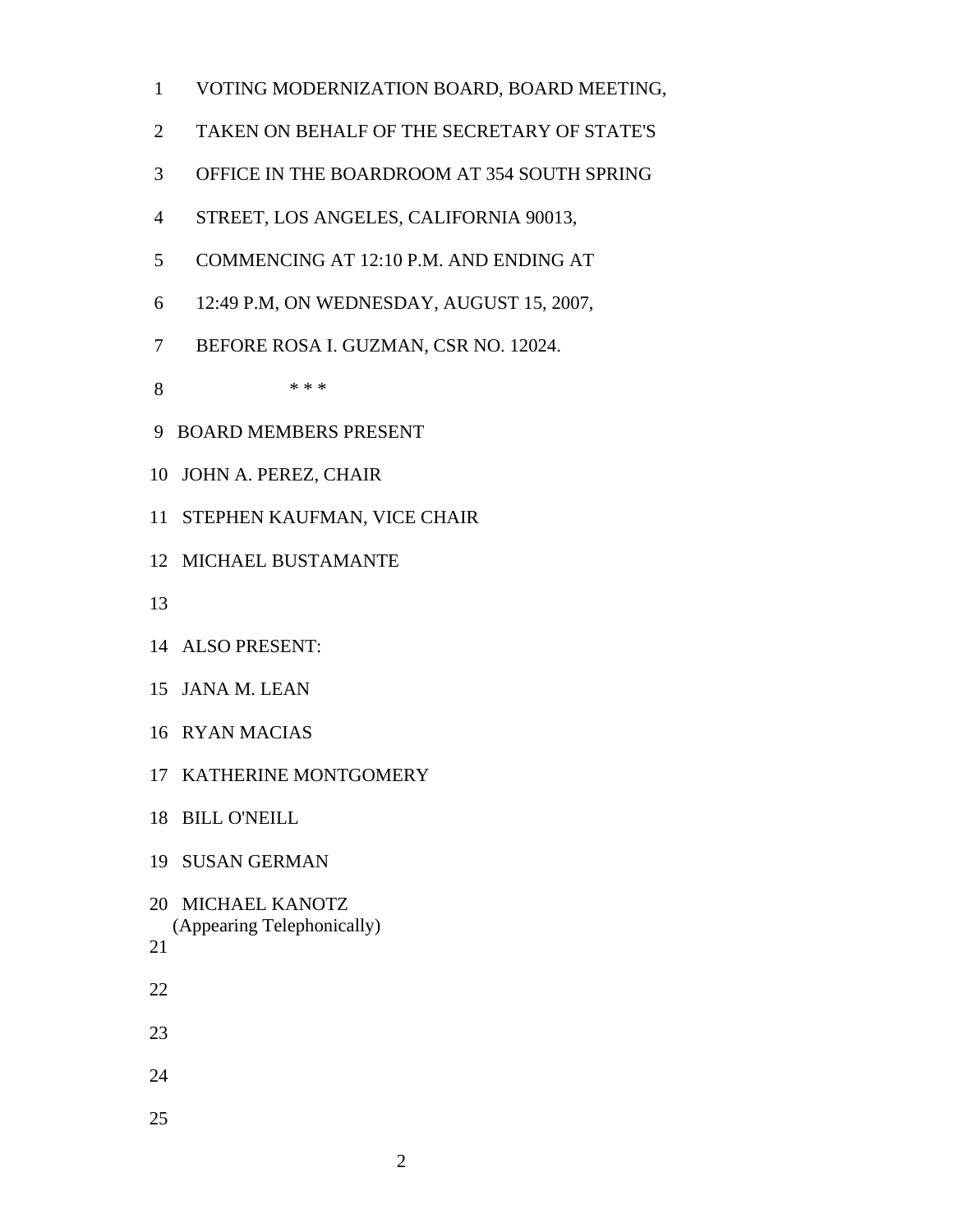- 1 VOTING MODERNIZATION BOARD, BOARD MEETING,
- 2 TAKEN ON BEHALF OF THE SECRETARY OF STATE'S
- 3 OFFICE IN THE BOARDROOM AT 354 SOUTH SPRING
- 4 STREET, LOS ANGELES, CALIFORNIA 90013,
- 5 COMMENCING AT 12:10 P.M. AND ENDING AT
- 6 12:49 P.M, ON WEDNESDAY, AUGUST 15, 2007,
- 7 BEFORE ROSA I. GUZMAN, CSR NO. 12024.
- 8 \* \* \*
- 9 BOARD MEMBERS PRESENT
- 10 JOHN A. PEREZ, CHAIR
- 11 STEPHEN KAUFMAN, VICE CHAIR
- 12 MICHAEL BUSTAMANTE
- 13
- 14 ALSO PRESENT:
- 15 JANA M. LEAN
- 16 RYAN MACIAS
- 17 KATHERINE MONTGOMERY
- 18 BILL O'NEILL
- 19 SUSAN GERMAN
- 20 MICHAEL KANOTZ (Appearing Telephonically)

- 22
- 23
- 24
- 
- 25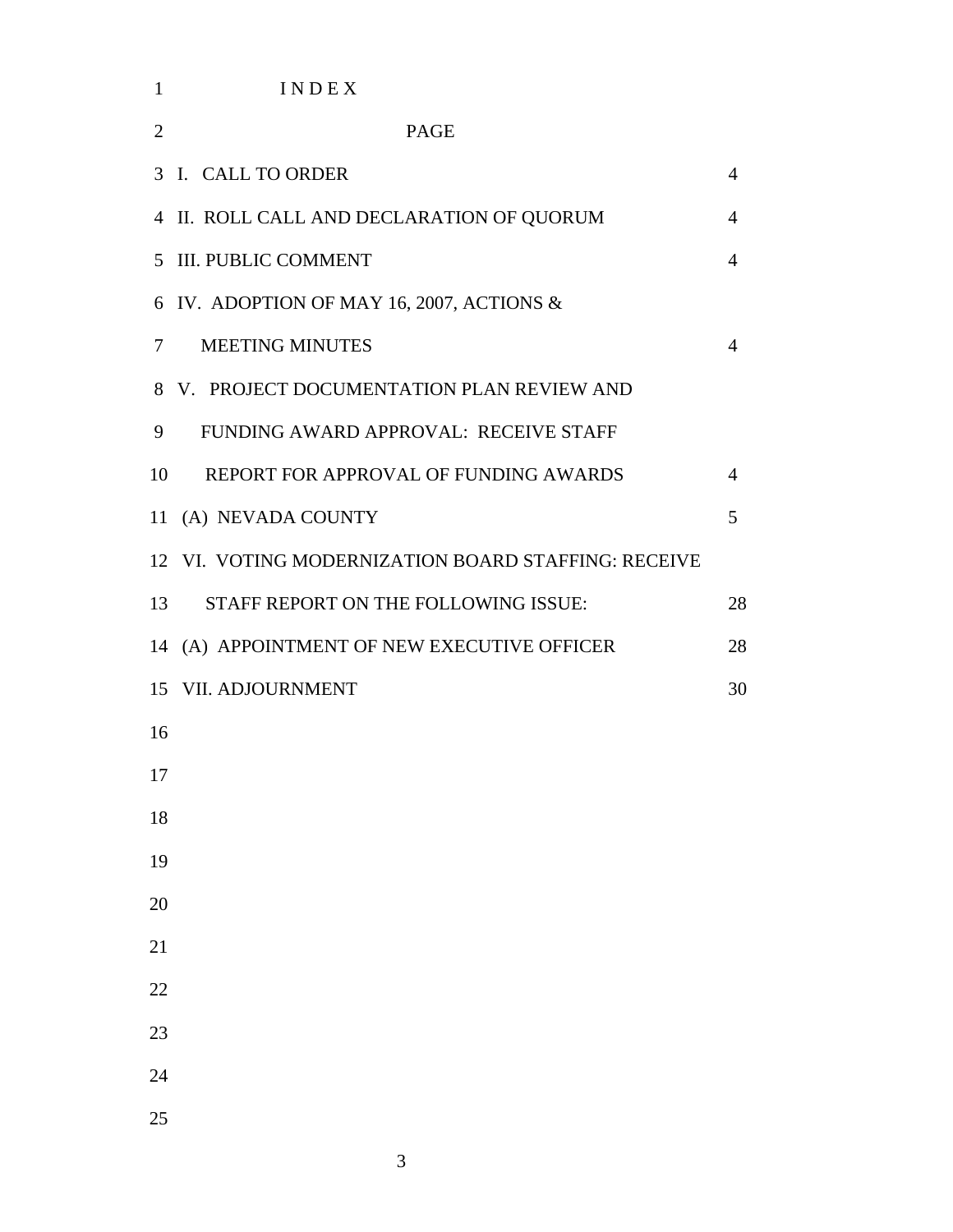| $\mathbf{1}$   | INDEX                                               |                |
|----------------|-----------------------------------------------------|----------------|
| $\overline{2}$ | <b>PAGE</b>                                         |                |
|                | 3 I. CALL TO ORDER                                  | $\overline{4}$ |
|                | 4 II. ROLL CALL AND DECLARATION OF QUORUM           | 4              |
|                | 5 III. PUBLIC COMMENT                               | $\overline{4}$ |
|                | 6 IV. ADOPTION OF MAY 16, 2007, ACTIONS &           |                |
| $\tau$         | <b>MEETING MINUTES</b>                              | 4              |
|                | 8 V. PROJECT DOCUMENTATION PLAN REVIEW AND          |                |
| 9              | FUNDING AWARD APPROVAL: RECEIVE STAFF               |                |
| 10             | REPORT FOR APPROVAL OF FUNDING AWARDS               | 4              |
|                | 11 (A) NEVADA COUNTY                                | 5              |
|                | 12 VI. VOTING MODERNIZATION BOARD STAFFING: RECEIVE |                |
| 13             | STAFF REPORT ON THE FOLLOWING ISSUE:                | 28             |
|                | 14 (A) APPOINTMENT OF NEW EXECUTIVE OFFICER         | 28             |
|                | 15 VII. ADJOURNMENT                                 | 30             |
| 16             |                                                     |                |
| 17             |                                                     |                |
| 18             |                                                     |                |
| 19             |                                                     |                |
| 20             |                                                     |                |
| 21             |                                                     |                |
| 22             |                                                     |                |
| 23             |                                                     |                |
| 24             |                                                     |                |
| 25             |                                                     |                |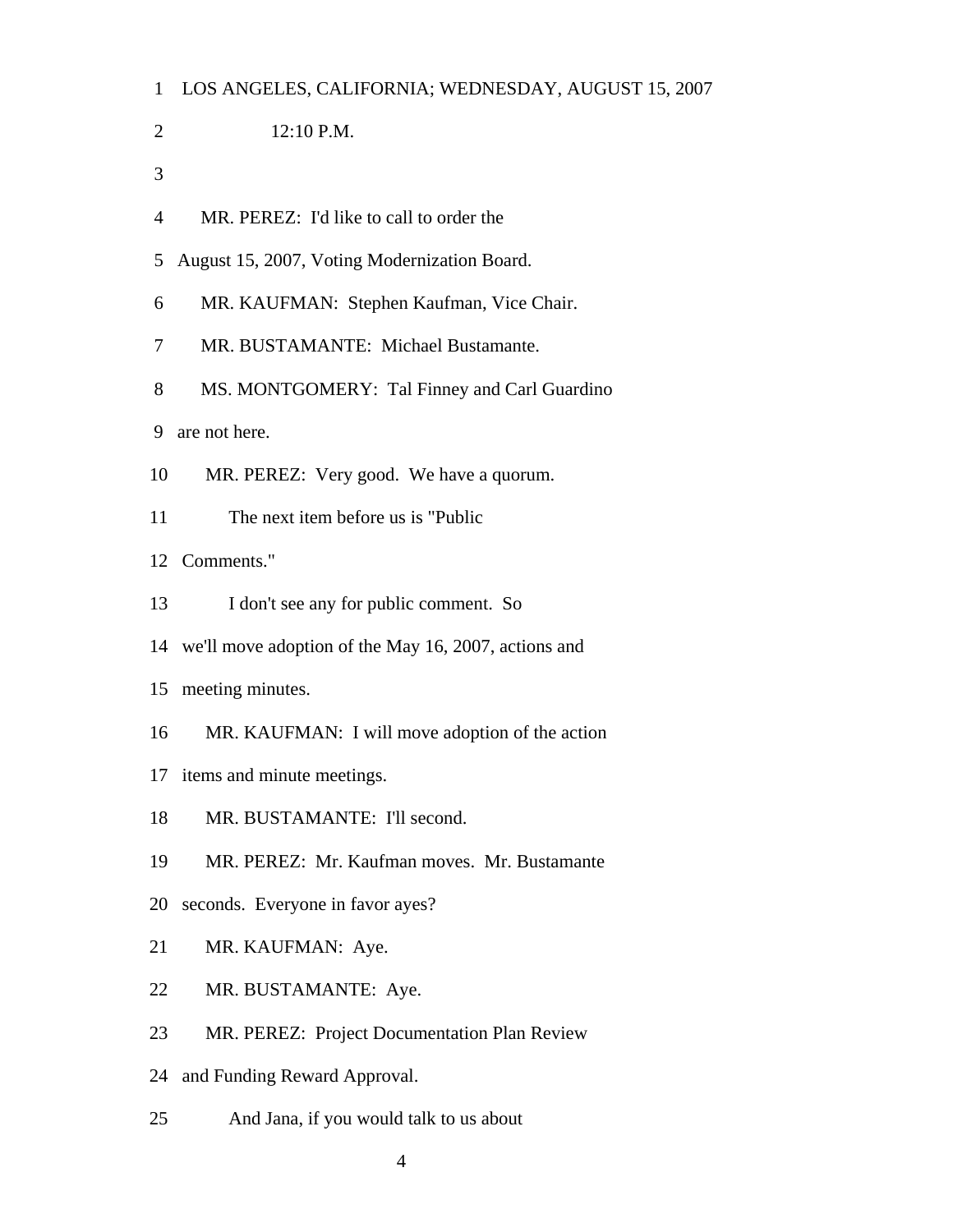| $\mathbf{1}$   | LOS ANGELES, CALIFORNIA; WEDNESDAY, AUGUST 15, 2007  |
|----------------|------------------------------------------------------|
| $\overline{2}$ | 12:10 P.M.                                           |
| 3              |                                                      |
| $\overline{4}$ | MR. PEREZ: I'd like to call to order the             |
| 5              | August 15, 2007, Voting Modernization Board.         |
| 6              | MR. KAUFMAN: Stephen Kaufman, Vice Chair.            |
| 7              | MR. BUSTAMANTE: Michael Bustamante.                  |
| 8              | MS. MONTGOMERY: Tal Finney and Carl Guardino         |
| 9              | are not here.                                        |
| 10             | MR. PEREZ: Very good. We have a quorum.              |
| 11             | The next item before us is "Public"                  |
|                | 12 Comments."                                        |
| 13             | I don't see any for public comment. So               |
| 14             | we'll move adoption of the May 16, 2007, actions and |
| 15             | meeting minutes.                                     |
| 16             | MR. KAUFMAN: I will move adoption of the action      |
|                | 17 items and minute meetings.                        |
| 18             | MR. BUSTAMANTE: I'll second.                         |
| 19             | MR. PEREZ: Mr. Kaufman moves. Mr. Bustamante         |
| 20             | seconds. Everyone in favor ayes?                     |
| 21             | MR. KAUFMAN: Aye.                                    |
| 22             | MR. BUSTAMANTE: Aye.                                 |
| 23             | MR. PEREZ: Project Documentation Plan Review         |
| 24             | and Funding Reward Approval.                         |
| 25             | And Jana, if you would talk to us about              |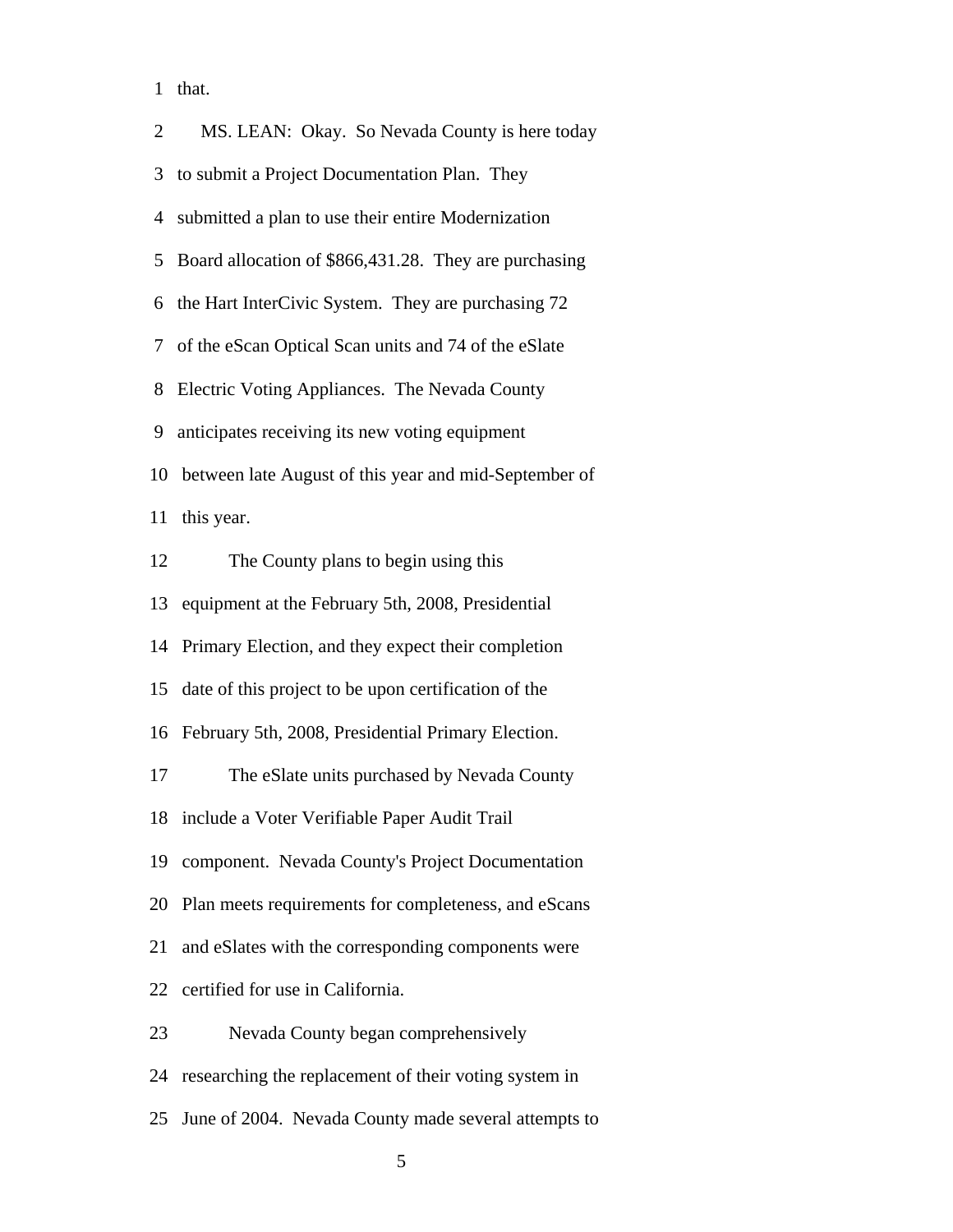1 that.

| $\overline{2}$ | MS. LEAN: Okay. So Nevada County is here today        |
|----------------|-------------------------------------------------------|
| 3              | to submit a Project Documentation Plan. They          |
| 4              | submitted a plan to use their entire Modernization    |
| 5              | Board allocation of \$866,431.28. They are purchasing |
| 6              | the Hart InterCivic System. They are purchasing 72    |
| 7              | of the eScan Optical Scan units and 74 of the eSlate  |
|                | 8 Electric Voting Appliances. The Nevada County       |
| 9              | anticipates receiving its new voting equipment        |
| 10             | between late August of this year and mid-September of |
| 11             | this year.                                            |
| 12             | The County plans to begin using this                  |
| 13             | equipment at the February 5th, 2008, Presidential     |
| 14             | Primary Election, and they expect their completion    |
| 15             | date of this project to be upon certification of the  |
| 16             | February 5th, 2008, Presidential Primary Election.    |
| 17             | The eSlate units purchased by Nevada County           |
| 18             | include a Voter Verifiable Paper Audit Trail          |
| 19             | component. Nevada County's Project Documentation      |
| 20             | Plan meets requirements for completeness, and eScans  |
| 21             | and eSlates with the corresponding components were    |
| 22             | certified for use in California.                      |
| 23             | Nevada County began comprehensively                   |
| 24             | researching the replacement of their voting system in |
| 25             | June of 2004. Nevada County made several attempts to  |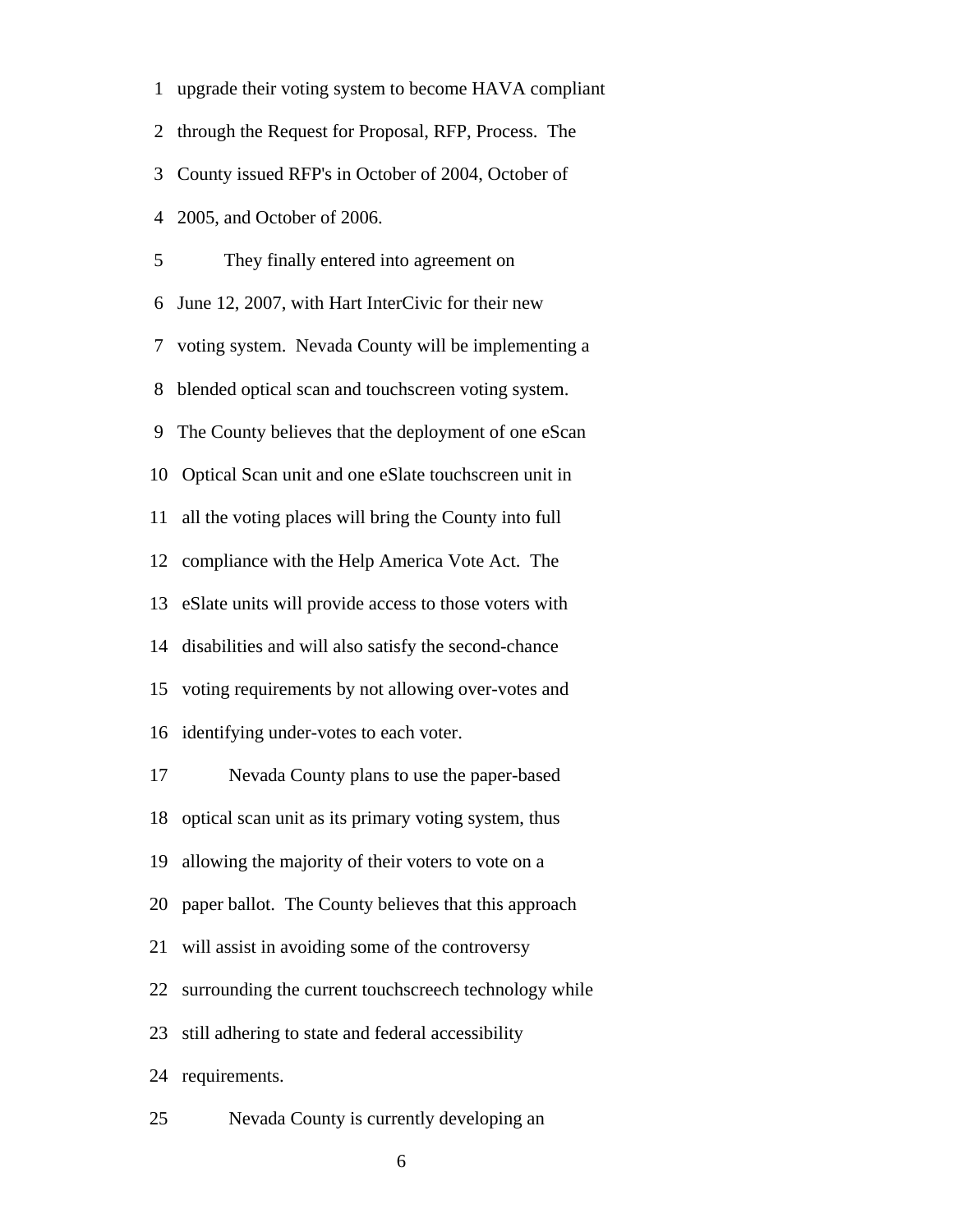1 upgrade their voting system to become HAVA compliant 2 through the Request for Proposal, RFP, Process. The 3 County issued RFP's in October of 2004, October of 4 2005, and October of 2006. 5 They finally entered into agreement on 6 June 12, 2007, with Hart InterCivic for their new 7 voting system. Nevada County will be implementing a 8 blended optical scan and touchscreen voting system. 9 The County believes that the deployment of one eScan 10 Optical Scan unit and one eSlate touchscreen unit in 11 all the voting places will bring the County into full 12 compliance with the Help America Vote Act. The 13 eSlate units will provide access to those voters with 14 disabilities and will also satisfy the second-chance 15 voting requirements by not allowing over-votes and 16 identifying under-votes to each voter. 17 Nevada County plans to use the paper-based 18 optical scan unit as its primary voting system, thus 19 allowing the majority of their voters to vote on a 20 paper ballot. The County believes that this approach 21 will assist in avoiding some of the controversy 22 surrounding the current touchscreech technology while 23 still adhering to state and federal accessibility 24 requirements.

25 Nevada County is currently developing an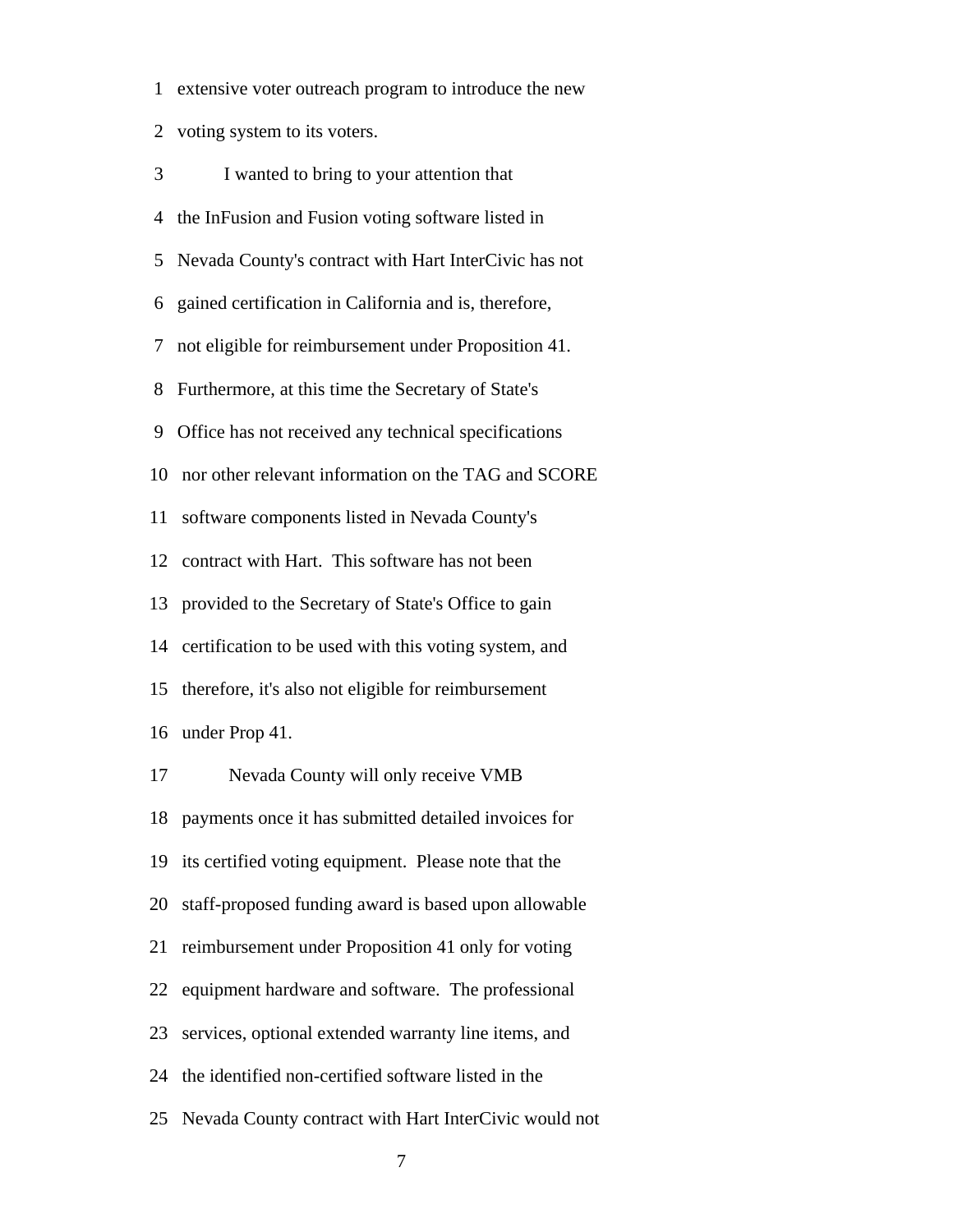1 extensive voter outreach program to introduce the new

2 voting system to its voters.

| 3  | I wanted to bring to your attention that              |
|----|-------------------------------------------------------|
| 4  | the InFusion and Fusion voting software listed in     |
| 5  | Nevada County's contract with Hart InterCivic has not |
| 6  | gained certification in California and is, therefore, |
| 7  | not eligible for reimbursement under Proposition 41.  |
| 8  | Furthermore, at this time the Secretary of State's    |
| 9  | Office has not received any technical specifications  |
| 10 | nor other relevant information on the TAG and SCORE   |
| 11 | software components listed in Nevada County's         |
| 12 | contract with Hart. This software has not been        |
| 13 | provided to the Secretary of State's Office to gain   |
| 14 | certification to be used with this voting system, and |
| 15 | therefore, it's also not eligible for reimbursement   |
| 16 | under Prop 41.                                        |
| 17 | Nevada County will only receive VMB                   |
| 18 | payments once it has submitted detailed invoices for  |
| 19 | its certified voting equipment. Please note that the  |
| 20 | staff-proposed funding award is based upon allowable  |
| 21 | reimbursement under Proposition 41 only for voting    |
| 22 | equipment hardware and software. The professional     |
| 23 | services, optional extended warranty line items, and  |
|    |                                                       |

24 the identified non-certified software listed in the

25 Nevada County contract with Hart InterCivic would not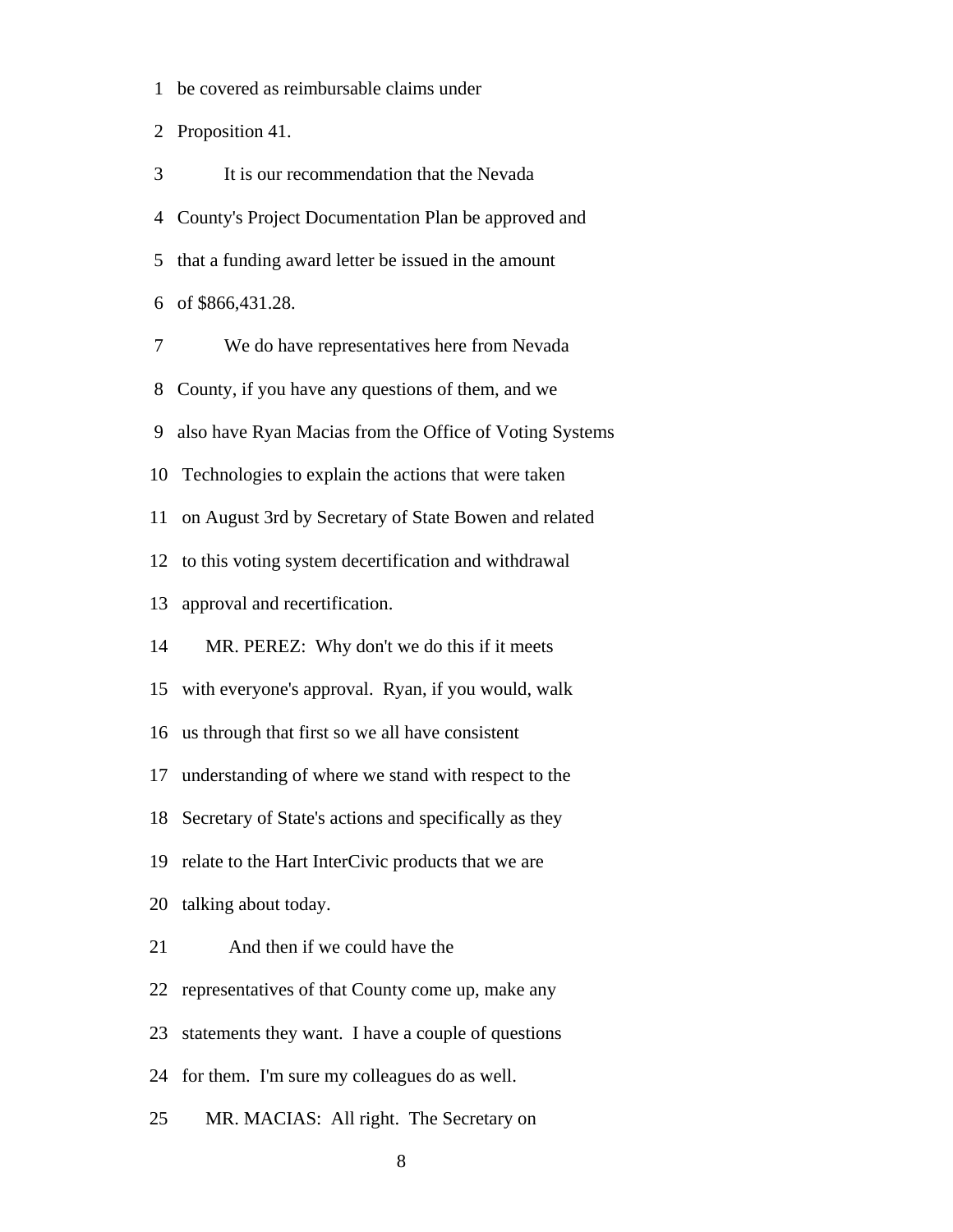1 be covered as reimbursable claims under

2 Proposition 41.

 3 It is our recommendation that the Nevada 4 County's Project Documentation Plan be approved and 5 that a funding award letter be issued in the amount 6 of \$866,431.28. 7 We do have representatives here from Nevada 8 County, if you have any questions of them, and we

9 also have Ryan Macias from the Office of Voting Systems

10 Technologies to explain the actions that were taken

11 on August 3rd by Secretary of State Bowen and related

12 to this voting system decertification and withdrawal

13 approval and recertification.

14 MR. PEREZ: Why don't we do this if it meets

15 with everyone's approval. Ryan, if you would, walk

16 us through that first so we all have consistent

17 understanding of where we stand with respect to the

18 Secretary of State's actions and specifically as they

19 relate to the Hart InterCivic products that we are

20 talking about today.

21 And then if we could have the

22 representatives of that County come up, make any

23 statements they want. I have a couple of questions

24 for them. I'm sure my colleagues do as well.

25 MR. MACIAS: All right. The Secretary on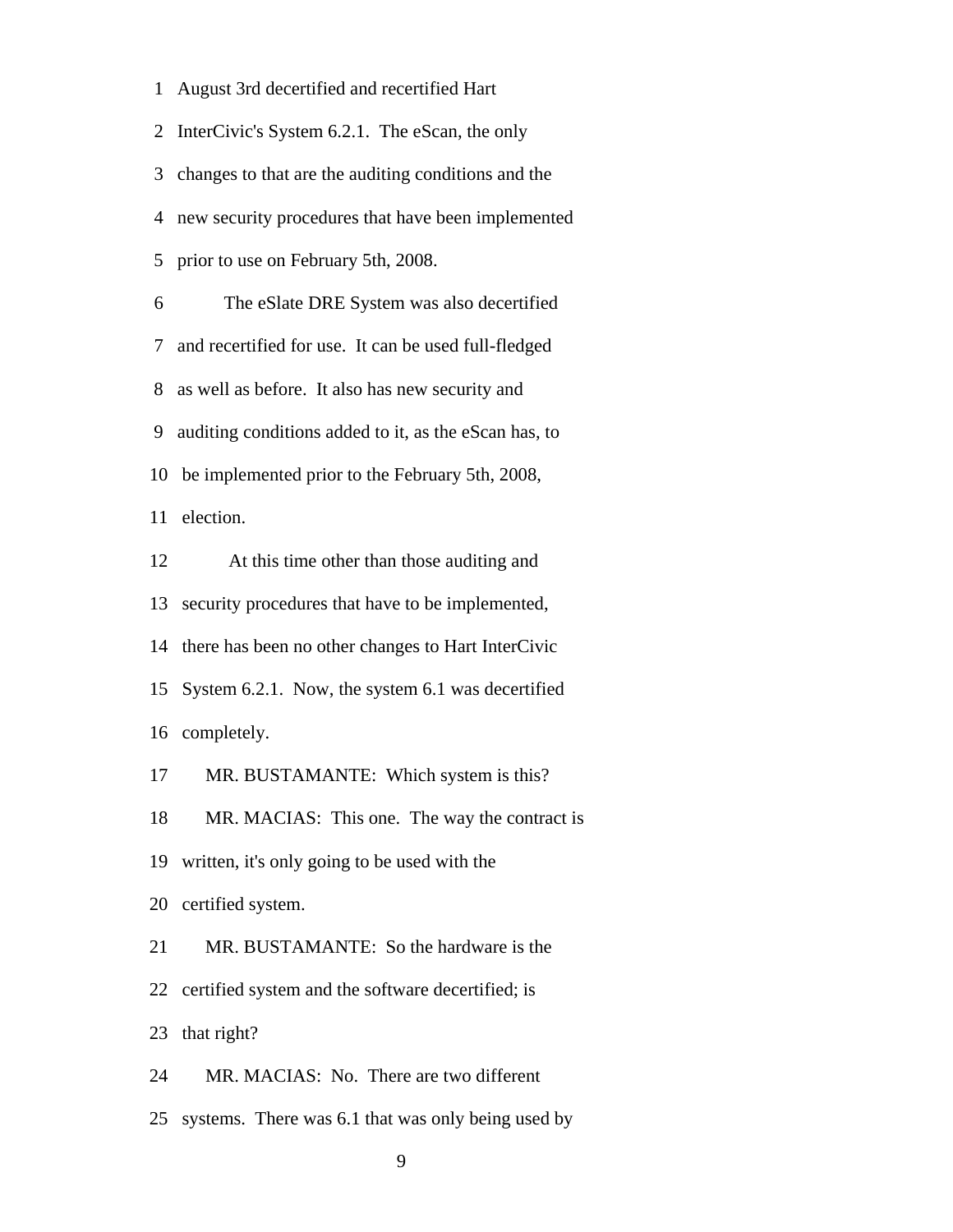1 August 3rd decertified and recertified Hart

 2 InterCivic's System 6.2.1. The eScan, the only 3 changes to that are the auditing conditions and the 4 new security procedures that have been implemented 5 prior to use on February 5th, 2008. 6 The eSlate DRE System was also decertified 7 and recertified for use. It can be used full-fledged 8 as well as before. It also has new security and 9 auditing conditions added to it, as the eScan has, to 10 be implemented prior to the February 5th, 2008, 11 election. 12 At this time other than those auditing and 13 security procedures that have to be implemented, 14 there has been no other changes to Hart InterCivic 15 System 6.2.1. Now, the system 6.1 was decertified 16 completely.

17 MR. BUSTAMANTE: Which system is this?

18 MR. MACIAS: This one. The way the contract is

19 written, it's only going to be used with the

20 certified system.

21 MR. BUSTAMANTE: So the hardware is the

22 certified system and the software decertified; is

23 that right?

24 MR. MACIAS: No. There are two different

25 systems. There was 6.1 that was only being used by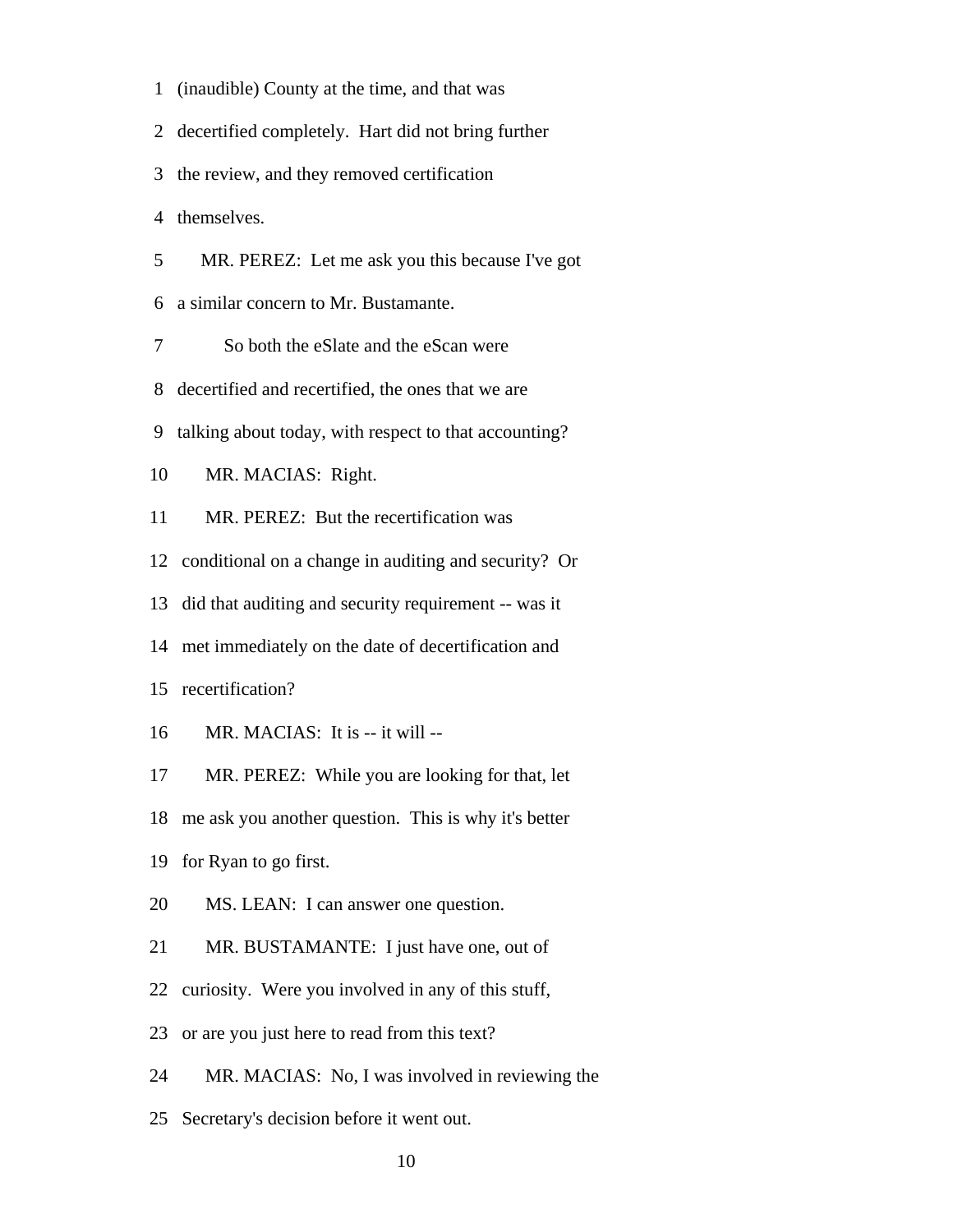1 (inaudible) County at the time, and that was

2 decertified completely. Hart did not bring further

3 the review, and they removed certification

4 themselves.

5 MR. PEREZ: Let me ask you this because I've got

6 a similar concern to Mr. Bustamante.

7 So both the eSlate and the eScan were

8 decertified and recertified, the ones that we are

9 talking about today, with respect to that accounting?

10 MR. MACIAS: Right.

11 MR. PEREZ: But the recertification was

12 conditional on a change in auditing and security? Or

13 did that auditing and security requirement -- was it

14 met immediately on the date of decertification and

15 recertification?

16 MR. MACIAS: It is -- it will --

17 MR. PEREZ: While you are looking for that, let

18 me ask you another question. This is why it's better

19 for Ryan to go first.

20 MS. LEAN: I can answer one question.

21 MR. BUSTAMANTE: I just have one, out of

22 curiosity. Were you involved in any of this stuff,

23 or are you just here to read from this text?

24 MR. MACIAS: No, I was involved in reviewing the

25 Secretary's decision before it went out.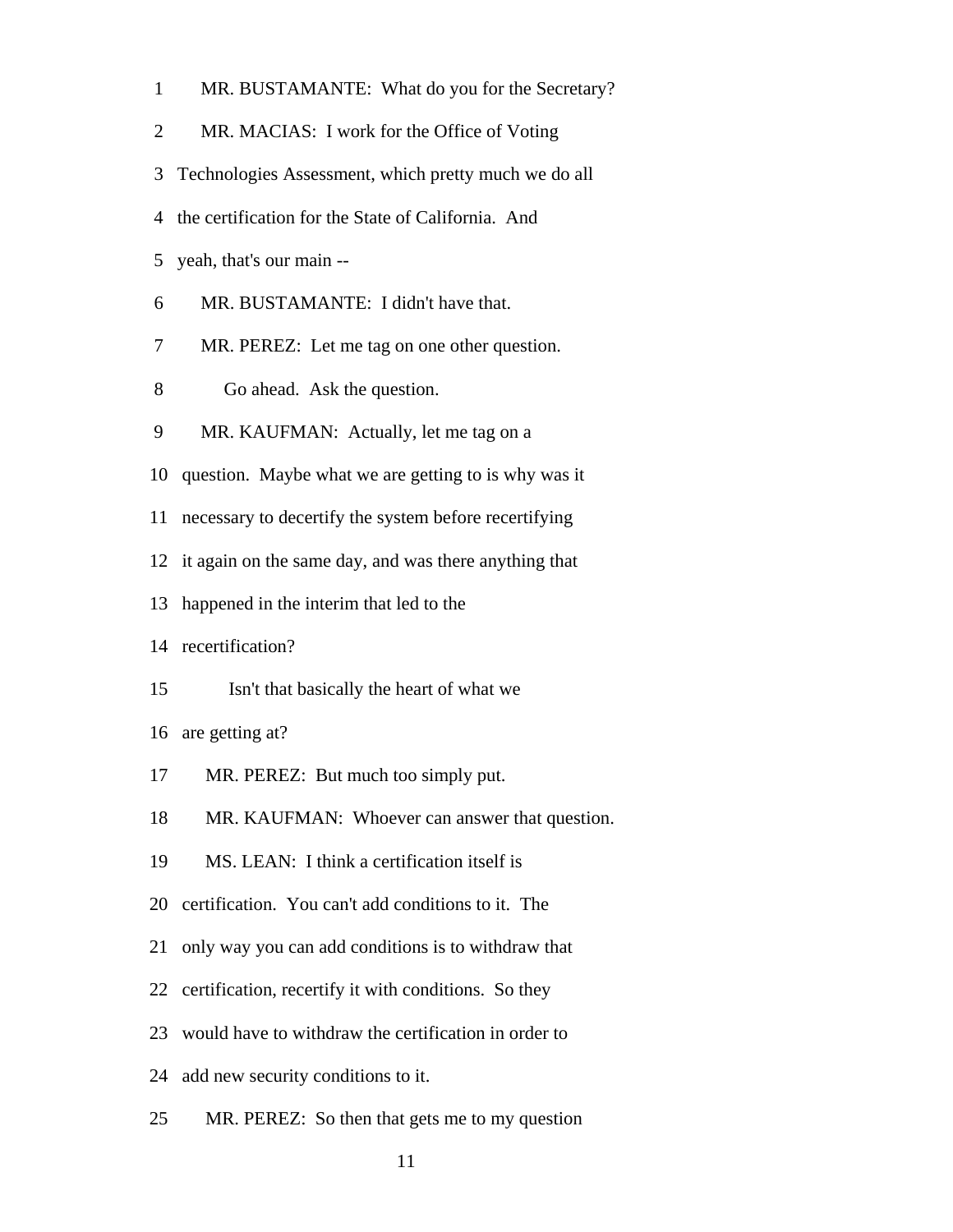|  | MR. BUSTAMANTE: What do you for the Secretary? |
|--|------------------------------------------------|
|--|------------------------------------------------|

- 2 MR. MACIAS: I work for the Office of Voting
- 3 Technologies Assessment, which pretty much we do all
- 4 the certification for the State of California. And
- 5 yeah, that's our main --
- 6 MR. BUSTAMANTE: I didn't have that.
- 7 MR. PEREZ: Let me tag on one other question.
- 8 Go ahead. Ask the question.
- 9 MR. KAUFMAN: Actually, let me tag on a
- 10 question. Maybe what we are getting to is why was it
- 11 necessary to decertify the system before recertifying
- 12 it again on the same day, and was there anything that
- 13 happened in the interim that led to the
- 14 recertification?
- 15 Isn't that basically the heart of what we

16 are getting at?

- 17 MR. PEREZ: But much too simply put.
- 18 MR. KAUFMAN: Whoever can answer that question.
- 19 MS. LEAN: I think a certification itself is
- 20 certification. You can't add conditions to it. The
- 21 only way you can add conditions is to withdraw that
- 22 certification, recertify it with conditions. So they
- 23 would have to withdraw the certification in order to
- 24 add new security conditions to it.
- 25 MR. PEREZ: So then that gets me to my question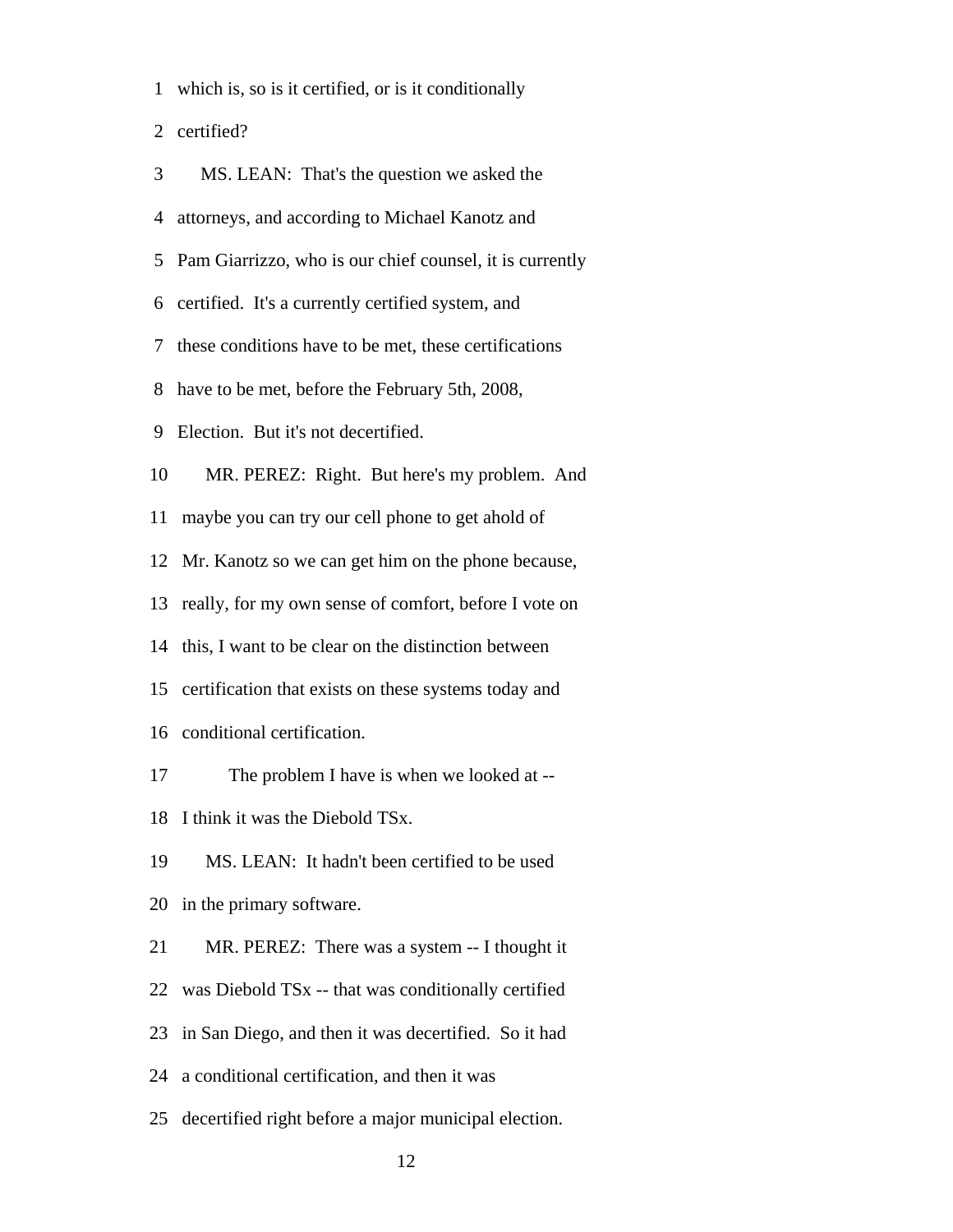|  |  | 1 which is, so is it certified, or is it conditionally |
|--|--|--------------------------------------------------------|

2 certified?

| 3  | MS. LEAN: That's the question we asked the               |
|----|----------------------------------------------------------|
| 4  | attorneys, and according to Michael Kanotz and           |
| 5  | Pam Giarrizzo, who is our chief counsel, it is currently |
| 6  | certified. It's a currently certified system, and        |
| 7  | these conditions have to be met, these certifications    |
| 8  | have to be met, before the February 5th, 2008,           |
|    | 9 Election. But it's not decertified.                    |
| 10 | MR. PEREZ: Right. But here's my problem. And             |
| 11 | maybe you can try our cell phone to get ahold of         |
| 12 | Mr. Kanotz so we can get him on the phone because,       |
| 13 | really, for my own sense of comfort, before I vote on    |
| 14 | this, I want to be clear on the distinction between      |
| 15 | certification that exists on these systems today and     |
| 16 | conditional certification.                               |
| 17 | The problem I have is when we looked at --               |
| 18 | I think it was the Diebold TSx.                          |
| 19 | MS. LEAN: It hadn't been certified to be used            |
| 20 | in the primary software.                                 |
| 21 | MR. PEREZ: There was a system -- I thought it            |
| 22 | was Diebold TSx -- that was conditionally certified      |
| 23 | in San Diego, and then it was decertified. So it had     |
| 24 | a conditional certification, and then it was             |
| 25 | decertified right before a major municipal election.     |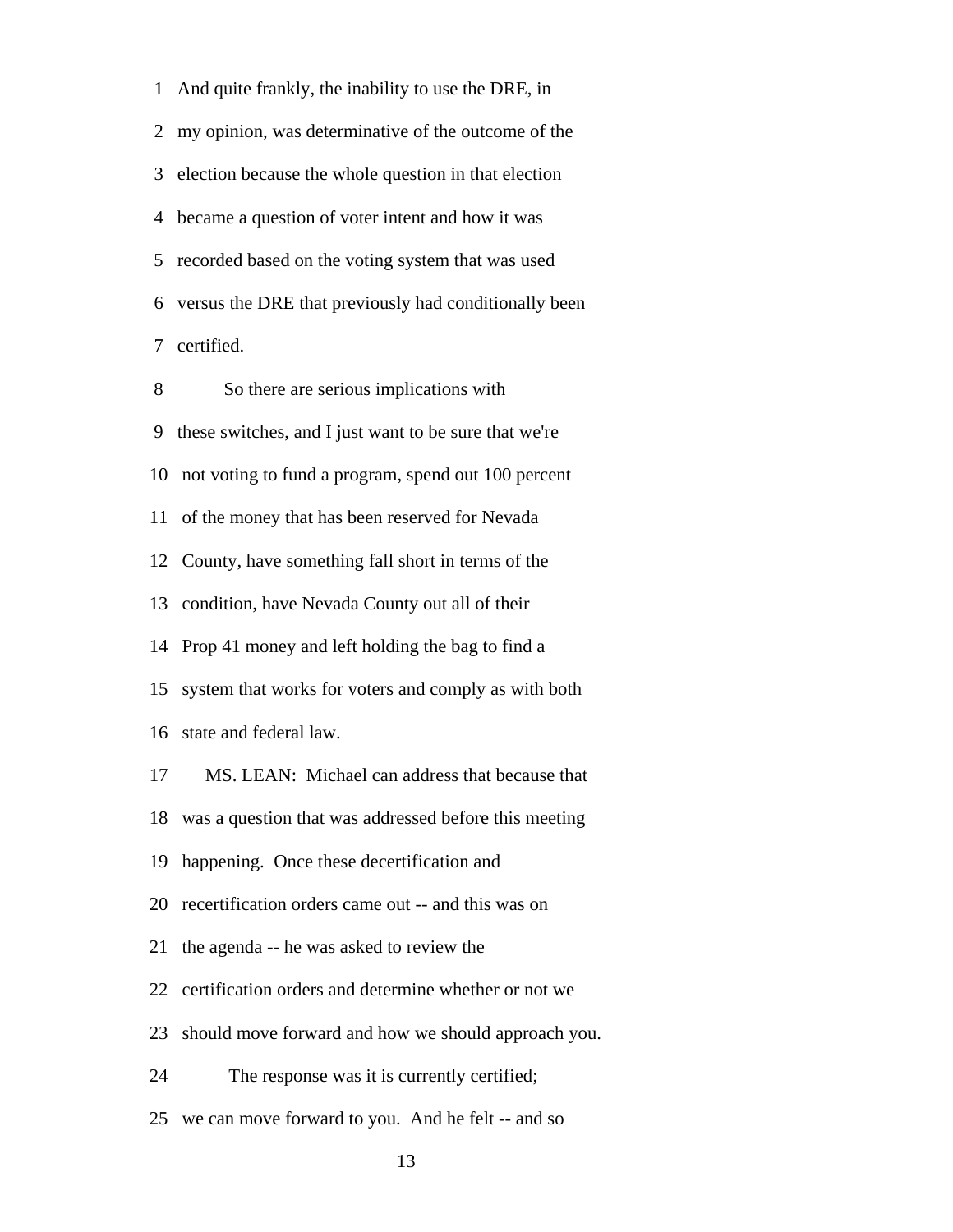1 And quite frankly, the inability to use the DRE, in 2 my opinion, was determinative of the outcome of the 3 election because the whole question in that election 4 became a question of voter intent and how it was 5 recorded based on the voting system that was used 6 versus the DRE that previously had conditionally been 7 certified.

 8 So there are serious implications with 9 these switches, and I just want to be sure that we're 10 not voting to fund a program, spend out 100 percent 11 of the money that has been reserved for Nevada 12 County, have something fall short in terms of the 13 condition, have Nevada County out all of their 14 Prop 41 money and left holding the bag to find a 15 system that works for voters and comply as with both 16 state and federal law. 17 MS. LEAN: Michael can address that because that 18 was a question that was addressed before this meeting

19 happening. Once these decertification and

20 recertification orders came out -- and this was on

- 21 the agenda -- he was asked to review the
- 22 certification orders and determine whether or not we
- 23 should move forward and how we should approach you.

24 The response was it is currently certified;

25 we can move forward to you. And he felt -- and so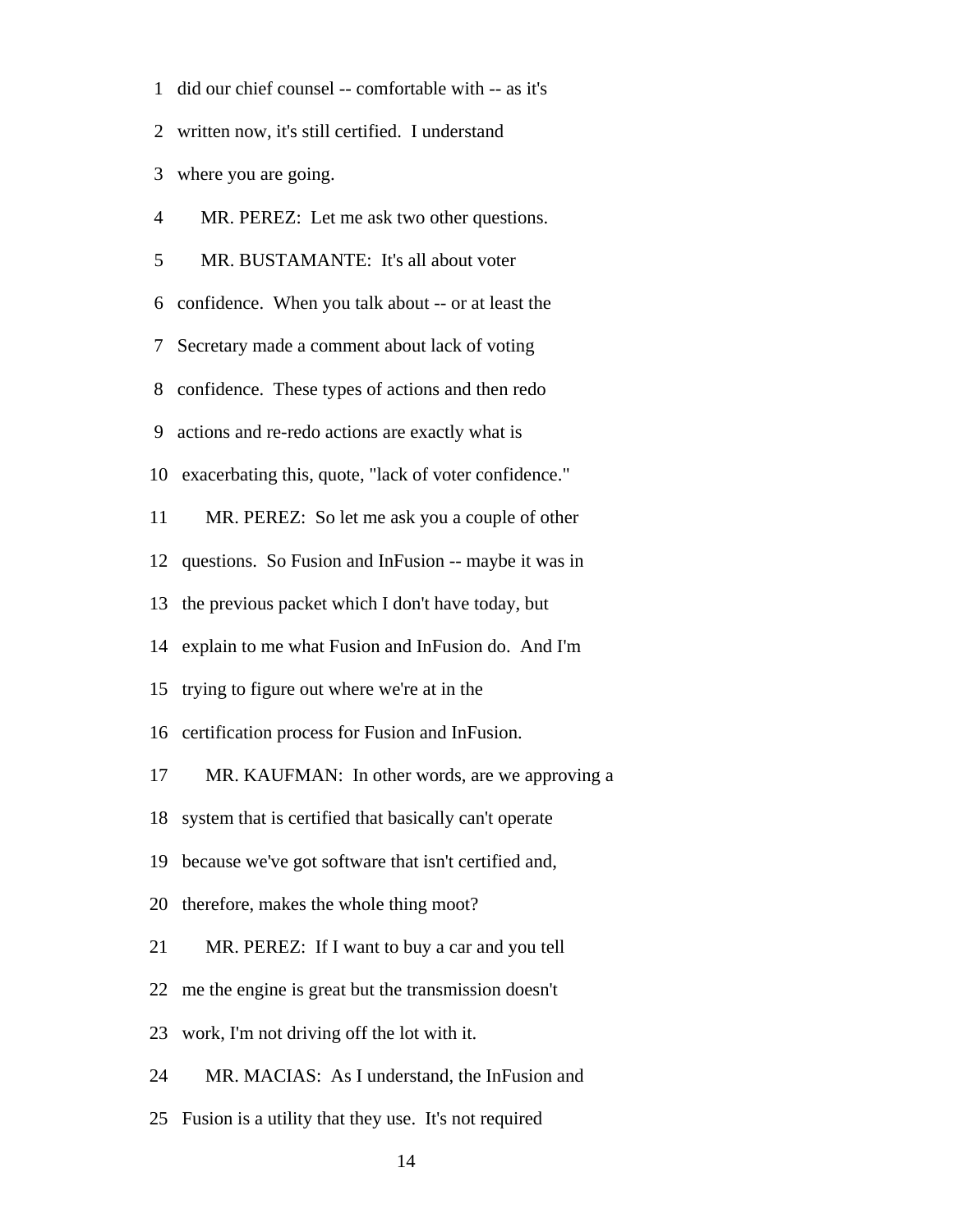1 did our chief counsel -- comfortable with -- as it's

2 written now, it's still certified. I understand

3 where you are going.

| $\overline{4}$ | MR. PEREZ: Let me ask two other questions.               |
|----------------|----------------------------------------------------------|
| 5              | MR. BUSTAMANTE: It's all about voter                     |
| 6              | confidence. When you talk about -- or at least the       |
| 7              | Secretary made a comment about lack of voting            |
| 8              | confidence. These types of actions and then redo         |
| 9              | actions and re-redo actions are exactly what is          |
|                | 10 exacerbating this, quote, "lack of voter confidence." |
| 11             | MR. PEREZ: So let me ask you a couple of other           |
|                | 12 questions. So Fusion and InFusion -- maybe it was in  |
| 13             | the previous packet which I don't have today, but        |
|                | 14 explain to me what Fusion and InFusion do. And I'm    |
| 15             | trying to figure out where we're at in the               |
|                | 16 certification process for Fusion and InFusion.        |
| 17             | MR. KAUFMAN: In other words, are we approving a          |
| 18             | system that is certified that basically can't operate    |
|                | 19 because we've got software that isn't certified and,  |
|                | 20 therefore, makes the whole thing moot?                |
| 21             | MR. PEREZ: If I want to buy a car and you tell           |
| 22             | me the engine is great but the transmission doesn't      |
| 23             | work, I'm not driving off the lot with it.               |
| 24             | MR. MACIAS: As I understand, the InFusion and            |
| 25             | Fusion is a utility that they use. It's not required     |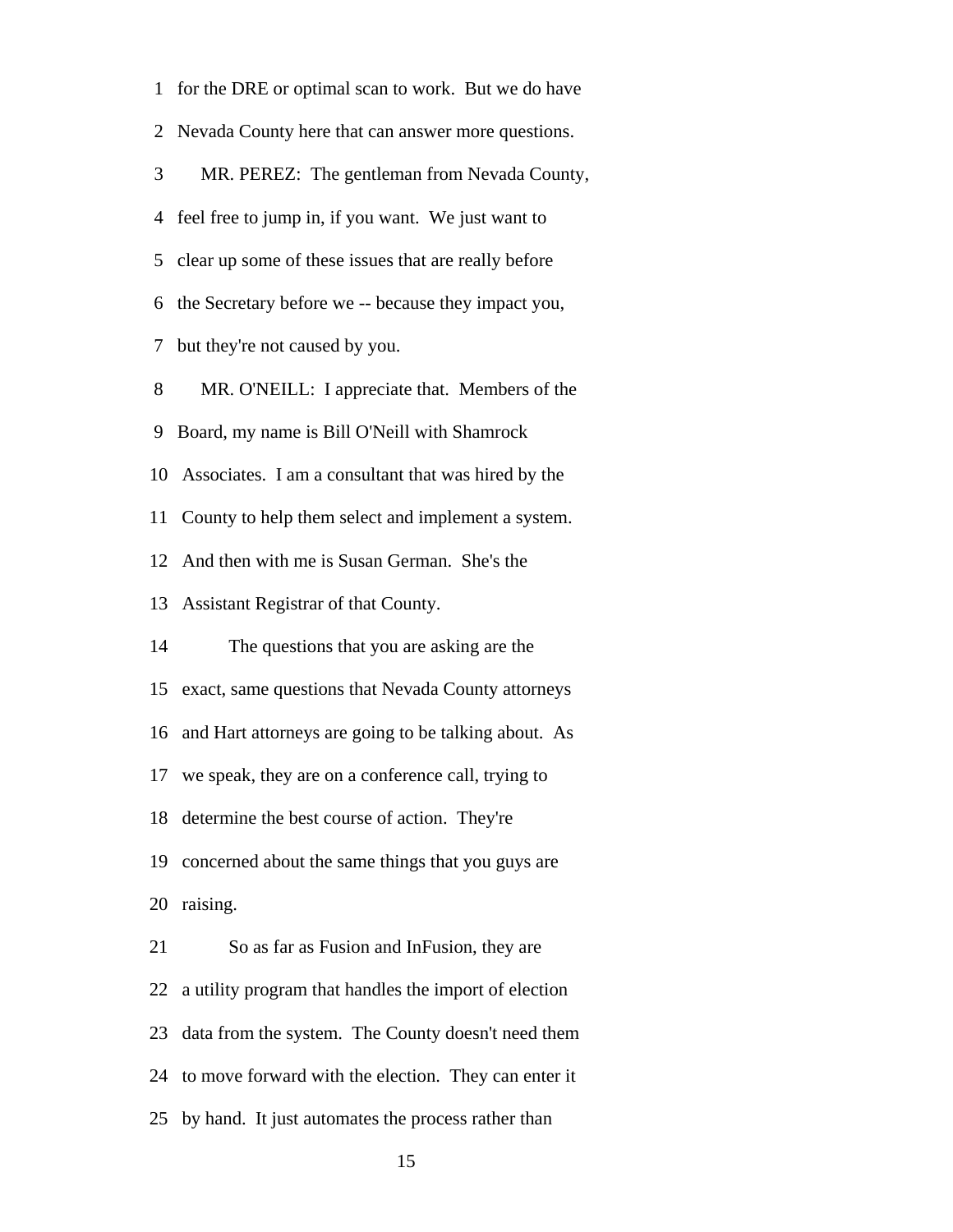1 for the DRE or optimal scan to work. But we do have 2 Nevada County here that can answer more questions. 3 MR. PEREZ: The gentleman from Nevada County, 4 feel free to jump in, if you want. We just want to 5 clear up some of these issues that are really before 6 the Secretary before we -- because they impact you, 7 but they're not caused by you. 8 MR. O'NEILL: I appreciate that. Members of the 9 Board, my name is Bill O'Neill with Shamrock 10 Associates. I am a consultant that was hired by the 11 County to help them select and implement a system. 12 And then with me is Susan German. She's the 13 Assistant Registrar of that County. 14 The questions that you are asking are the 15 exact, same questions that Nevada County attorneys 16 and Hart attorneys are going to be talking about. As 17 we speak, they are on a conference call, trying to 18 determine the best course of action. They're 19 concerned about the same things that you guys are 20 raising. 21 So as far as Fusion and InFusion, they are 22 a utility program that handles the import of election 23 data from the system. The County doesn't need them 24 to move forward with the election. They can enter it 25 by hand. It just automates the process rather than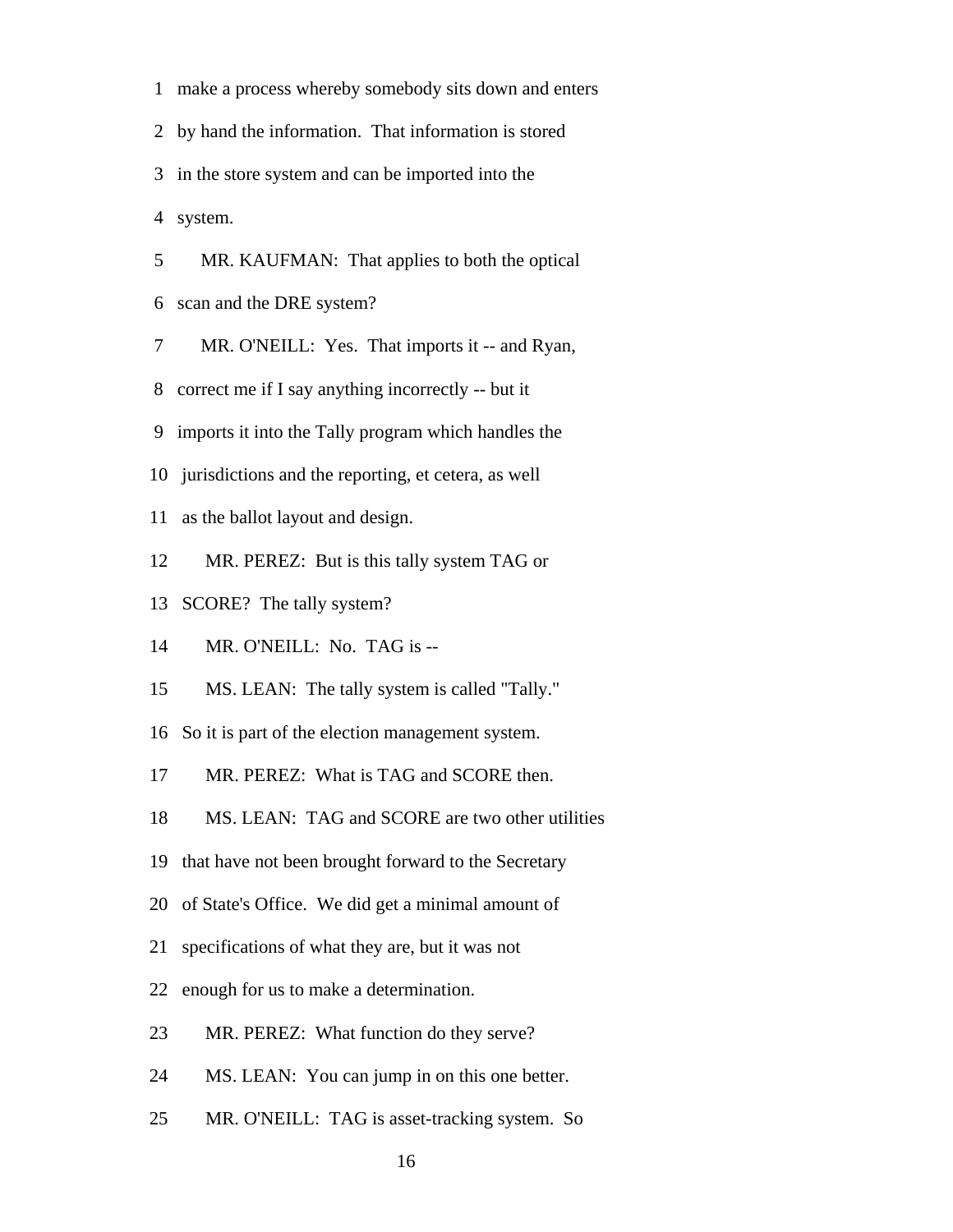1 make a process whereby somebody sits down and enters

2 by hand the information. That information is stored

3 in the store system and can be imported into the

4 system.

 5 MR. KAUFMAN: That applies to both the optical 6 scan and the DRE system?

7 MR. O'NEILL: Yes. That imports it -- and Ryan,

8 correct me if I say anything incorrectly -- but it

9 imports it into the Tally program which handles the

10 jurisdictions and the reporting, et cetera, as well

11 as the ballot layout and design.

12 MR. PEREZ: But is this tally system TAG or

13 SCORE? The tally system?

14 MR. O'NEILL: No. TAG is --

15 MS. LEAN: The tally system is called "Tally."

16 So it is part of the election management system.

17 MR. PEREZ: What is TAG and SCORE then.

18 MS. LEAN: TAG and SCORE are two other utilities

19 that have not been brought forward to the Secretary

20 of State's Office. We did get a minimal amount of

21 specifications of what they are, but it was not

22 enough for us to make a determination.

23 MR. PEREZ: What function do they serve?

24 MS. LEAN: You can jump in on this one better.

25 MR. O'NEILL: TAG is asset-tracking system. So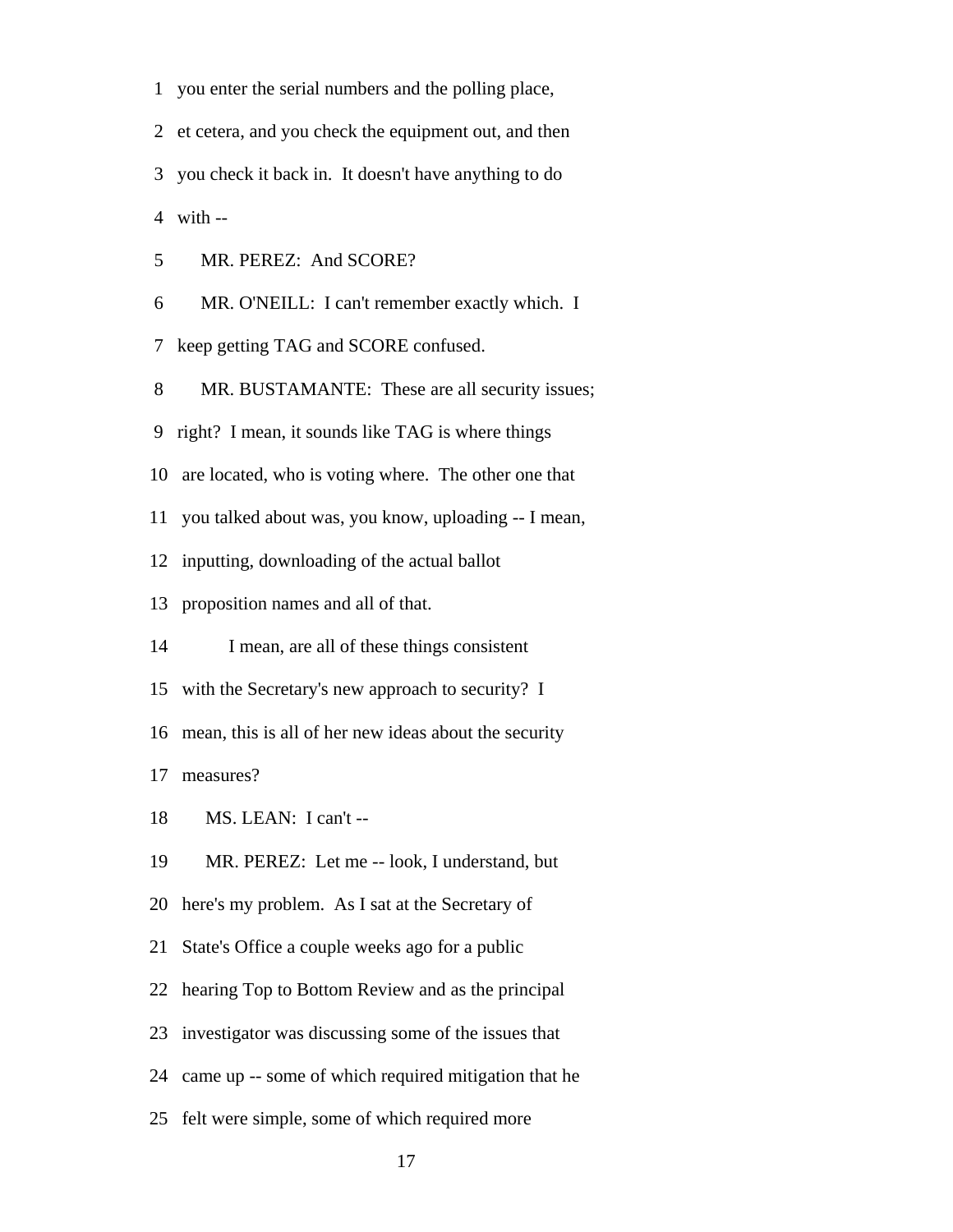1 you enter the serial numbers and the polling place,

2 et cetera, and you check the equipment out, and then

3 you check it back in. It doesn't have anything to do

4 with --

5 MR. PEREZ: And SCORE?

6 MR. O'NEILL: I can't remember exactly which. I

7 keep getting TAG and SCORE confused.

8 MR. BUSTAMANTE: These are all security issues;

9 right? I mean, it sounds like TAG is where things

10 are located, who is voting where. The other one that

11 you talked about was, you know, uploading -- I mean,

12 inputting, downloading of the actual ballot

13 proposition names and all of that.

14 I mean, are all of these things consistent

15 with the Secretary's new approach to security? I

16 mean, this is all of her new ideas about the security

17 measures?

18 MS. LEAN: I can't --

19 MR. PEREZ: Let me -- look, I understand, but

20 here's my problem. As I sat at the Secretary of

21 State's Office a couple weeks ago for a public

22 hearing Top to Bottom Review and as the principal

23 investigator was discussing some of the issues that

24 came up -- some of which required mitigation that he

25 felt were simple, some of which required more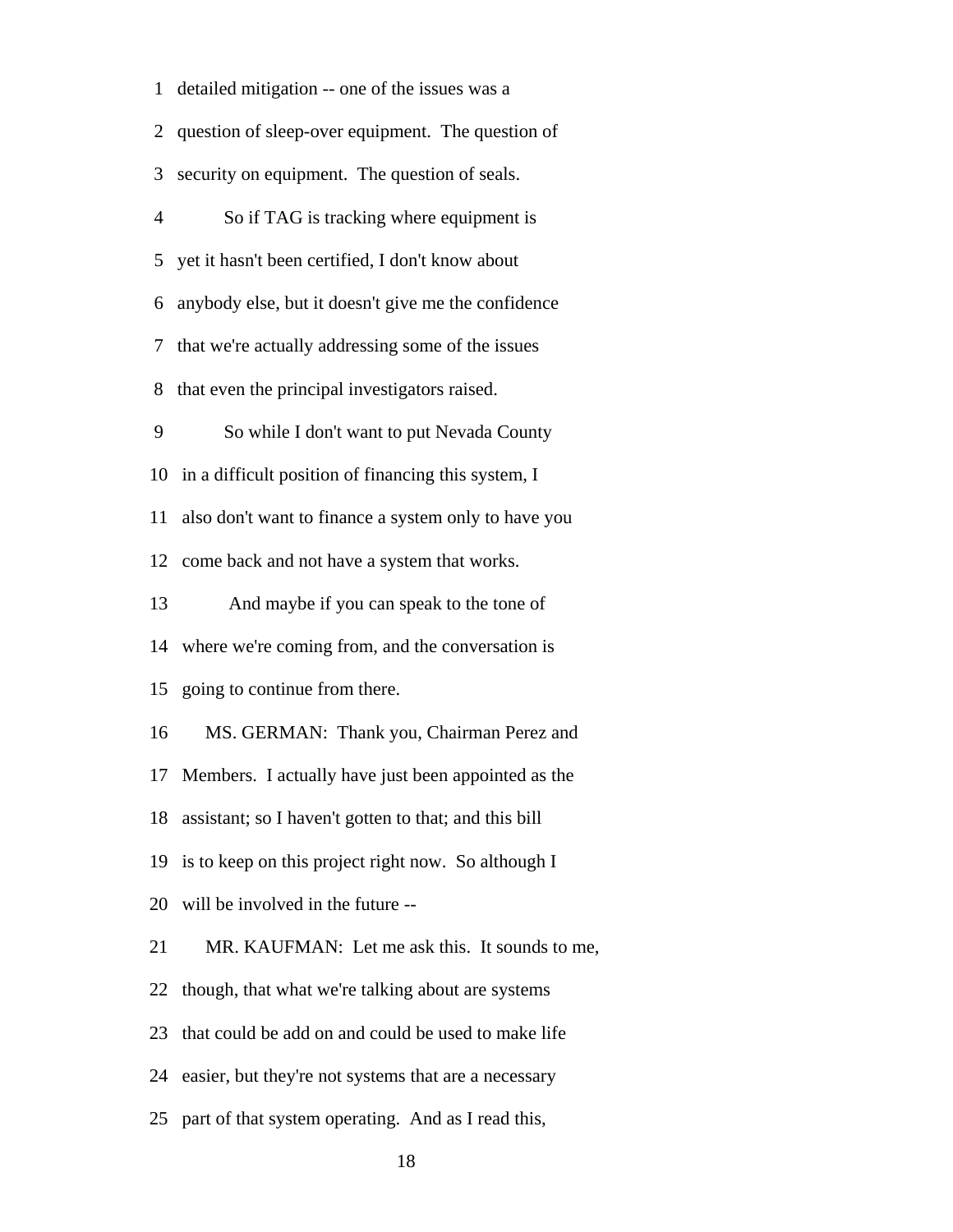1 detailed mitigation -- one of the issues was a 2 question of sleep-over equipment. The question of 3 security on equipment. The question of seals. 4 So if TAG is tracking where equipment is 5 yet it hasn't been certified, I don't know about 6 anybody else, but it doesn't give me the confidence 7 that we're actually addressing some of the issues 8 that even the principal investigators raised. 9 So while I don't want to put Nevada County 10 in a difficult position of financing this system, I 11 also don't want to finance a system only to have you 12 come back and not have a system that works. 13 And maybe if you can speak to the tone of 14 where we're coming from, and the conversation is 15 going to continue from there. 16 MS. GERMAN: Thank you, Chairman Perez and 17 Members. I actually have just been appointed as the 18 assistant; so I haven't gotten to that; and this bill 19 is to keep on this project right now. So although I 20 will be involved in the future -- 21 MR. KAUFMAN: Let me ask this. It sounds to me, 22 though, that what we're talking about are systems 23 that could be add on and could be used to make life 24 easier, but they're not systems that are a necessary 25 part of that system operating. And as I read this,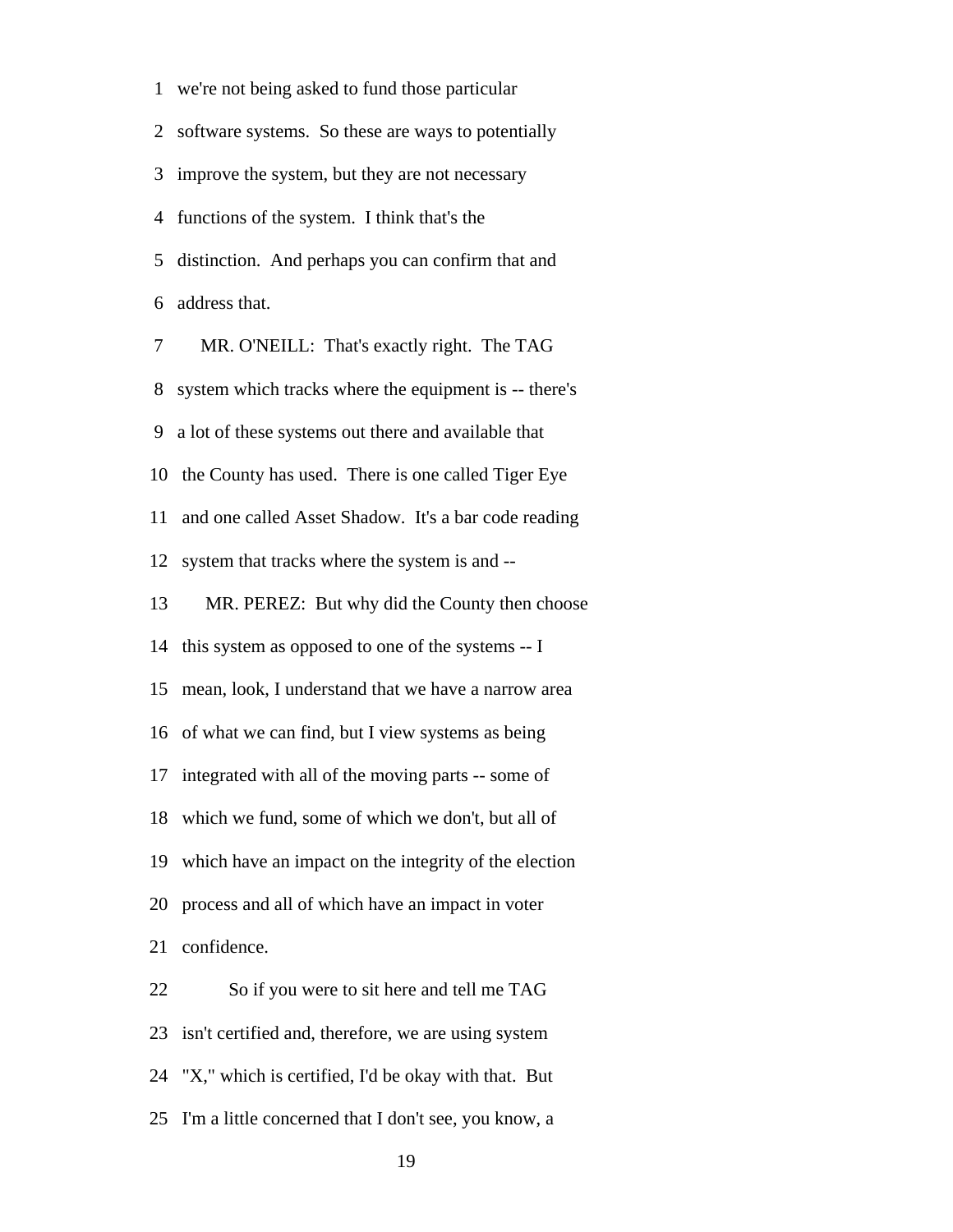1 we're not being asked to fund those particular 2 software systems. So these are ways to potentially 3 improve the system, but they are not necessary 4 functions of the system. I think that's the 5 distinction. And perhaps you can confirm that and 6 address that. 7 MR. O'NEILL: That's exactly right. The TAG

 8 system which tracks where the equipment is -- there's 9 a lot of these systems out there and available that 10 the County has used. There is one called Tiger Eye 11 and one called Asset Shadow. It's a bar code reading 12 system that tracks where the system is and -- 13 MR. PEREZ: But why did the County then choose 14 this system as opposed to one of the systems -- I 15 mean, look, I understand that we have a narrow area 16 of what we can find, but I view systems as being 17 integrated with all of the moving parts -- some of 18 which we fund, some of which we don't, but all of 19 which have an impact on the integrity of the election 20 process and all of which have an impact in voter 21 confidence. 22 So if you were to sit here and tell me TAG 23 isn't certified and, therefore, we are using system

24 "X," which is certified, I'd be okay with that. But

25 I'm a little concerned that I don't see, you know, a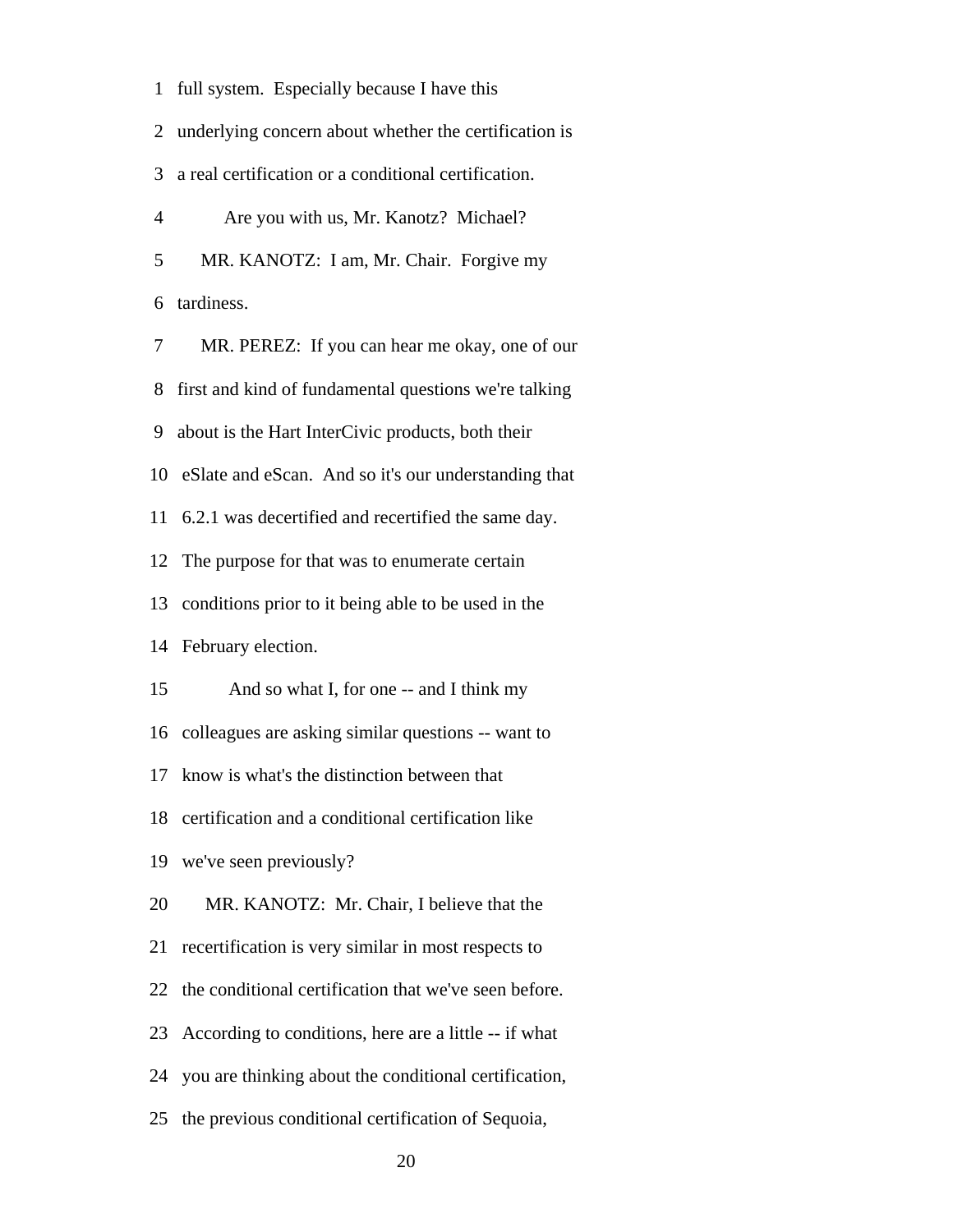| 1              | full system. Especially because I have this           |
|----------------|-------------------------------------------------------|
| 2              | underlying concern about whether the certification is |
| 3              | a real certification or a conditional certification.  |
| $\overline{4}$ | Are you with us, Mr. Kanotz? Michael?                 |
| 5              | MR. KANOTZ: I am, Mr. Chair. Forgive my               |
| 6              | tardiness.                                            |
| 7              | MR. PEREZ: If you can hear me okay, one of our        |
| 8              | first and kind of fundamental questions we're talking |
| 9              | about is the Hart InterCivic products, both their     |
| 10             | eSlate and eScan. And so it's our understanding that  |
| 11             | 6.2.1 was decertified and recertified the same day.   |
| 12             | The purpose for that was to enumerate certain         |
| 13             | conditions prior to it being able to be used in the   |
| 14             | February election.                                    |
| 15             | And so what I, for one -- and I think my              |
|                | 16 colleagues are asking similar questions -- want to |
|                | 17 know is what's the distinction between that        |
| 18             | certification and a conditional certification like    |
| 19             | we've seen previously?                                |
| 20             | MR. KANOTZ: Mr. Chair, I believe that the             |
| 21             | recertification is very similar in most respects to   |
| 22             | the conditional certification that we've seen before. |
| 23             | According to conditions, here are a little -- if what |
| 24             | you are thinking about the conditional certification, |
| 25             | the previous conditional certification of Sequoia,    |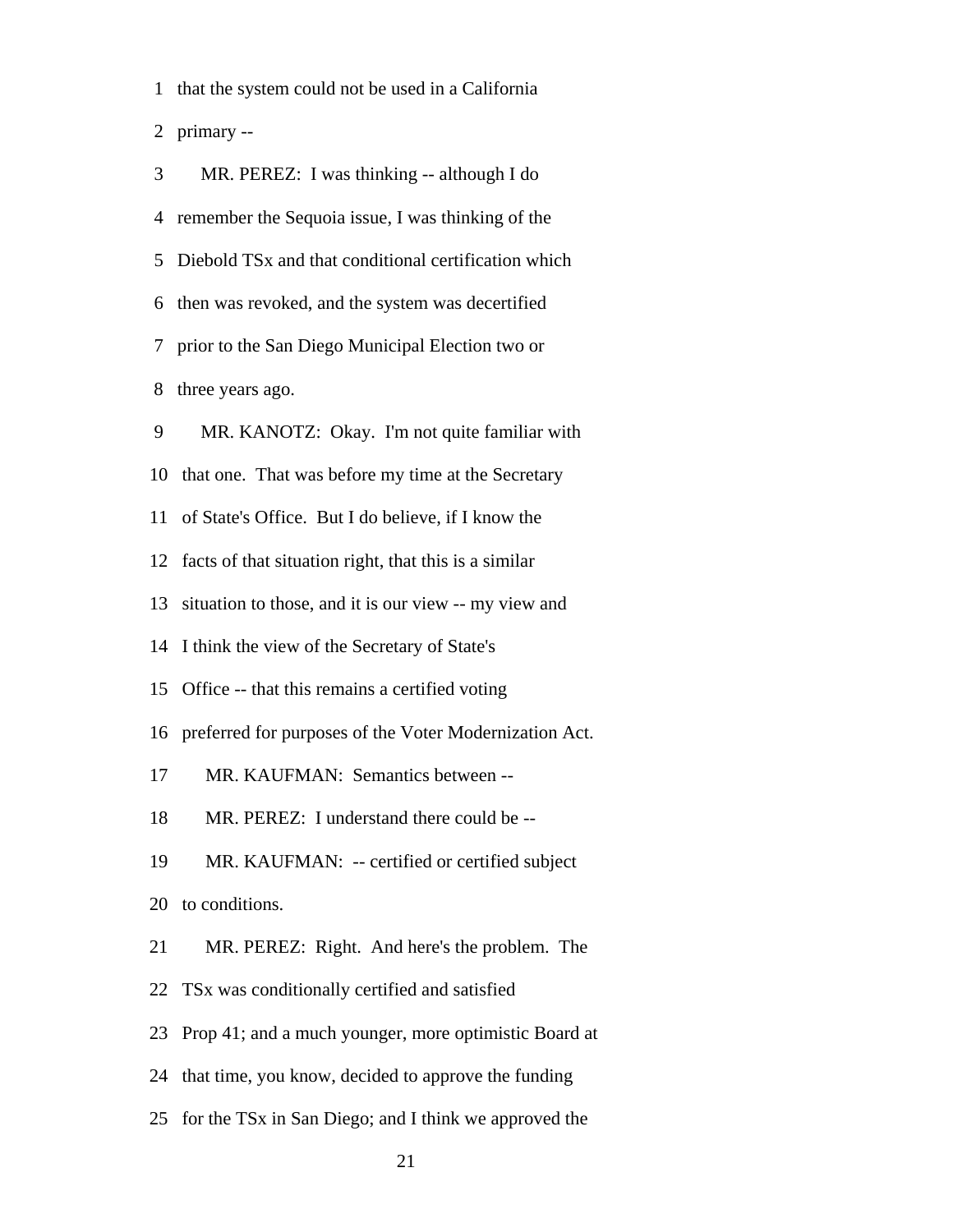1 that the system could not be used in a California

2 primary --

| 3              | MR. PEREZ: I was thinking -- although I do             |
|----------------|--------------------------------------------------------|
| $\overline{4}$ | remember the Sequoia issue, I was thinking of the      |
| 5              | Diebold TSx and that conditional certification which   |
| 6              | then was revoked, and the system was decertified       |
|                | 7 prior to the San Diego Municipal Election two or     |
| 8              | three years ago.                                       |
| 9              | MR. KANOTZ: Okay. I'm not quite familiar with          |
| 10             | that one. That was before my time at the Secretary     |
| 11             | of State's Office. But I do believe, if I know the     |
| 12             | facts of that situation right, that this is a similar  |
| 13             | situation to those, and it is our view -- my view and  |
| 14             | I think the view of the Secretary of State's           |
| 15             | Office -- that this remains a certified voting         |
| 16             | preferred for purposes of the Voter Modernization Act. |
| 17             | MR. KAUFMAN: Semantics between --                      |
| 18             | MR. PEREZ: I understand there could be --              |
| 19             | MR. KAUFMAN: -- certified or certified subject         |
| 20             | to conditions.                                         |
| 21             | MR. PEREZ: Right. And here's the problem. The          |
| 22             | TSx was conditionally certified and satisfied          |
| 23             | Prop 41; and a much younger, more optimistic Board at  |

- 24 that time, you know, decided to approve the funding
- 25 for the TSx in San Diego; and I think we approved the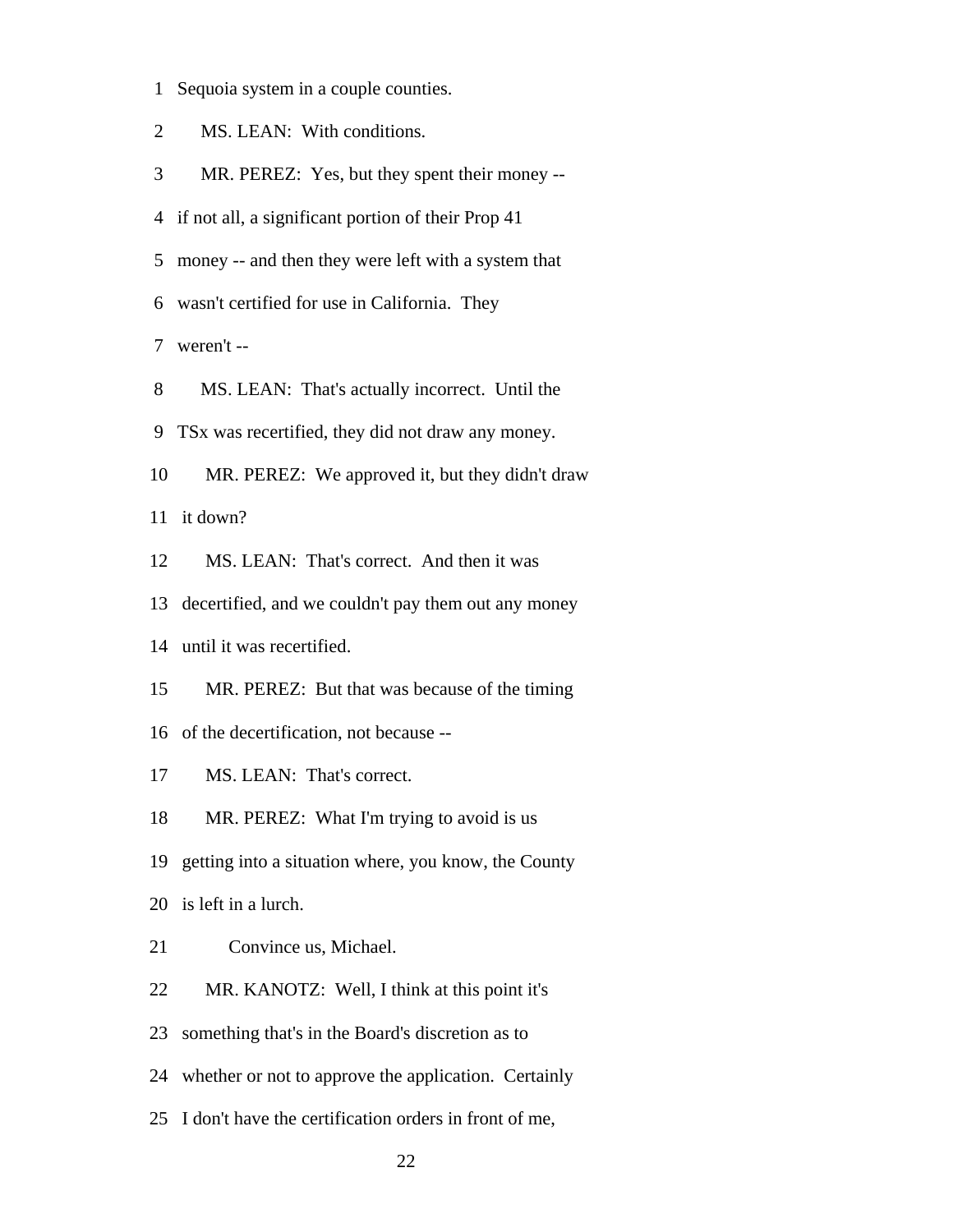- 1 Sequoia system in a couple counties.
- 2 MS. LEAN: With conditions.
- 3 MR. PEREZ: Yes, but they spent their money --
- 4 if not all, a significant portion of their Prop 41
- 5 money -- and then they were left with a system that
- 6 wasn't certified for use in California. They

7 weren't --

- 8 MS. LEAN: That's actually incorrect. Until the
- 9 TSx was recertified, they did not draw any money.
- 10 MR. PEREZ: We approved it, but they didn't draw

11 it down?

- 12 MS. LEAN: That's correct. And then it was
- 13 decertified, and we couldn't pay them out any money
- 14 until it was recertified.
- 15 MR. PEREZ: But that was because of the timing
- 16 of the decertification, not because --
- 17 MS. LEAN: That's correct.
- 18 MR. PEREZ: What I'm trying to avoid is us
- 19 getting into a situation where, you know, the County
- 20 is left in a lurch.
- 21 Convince us, Michael.
- 22 MR. KANOTZ: Well, I think at this point it's
- 23 something that's in the Board's discretion as to
- 24 whether or not to approve the application. Certainly
- 25 I don't have the certification orders in front of me,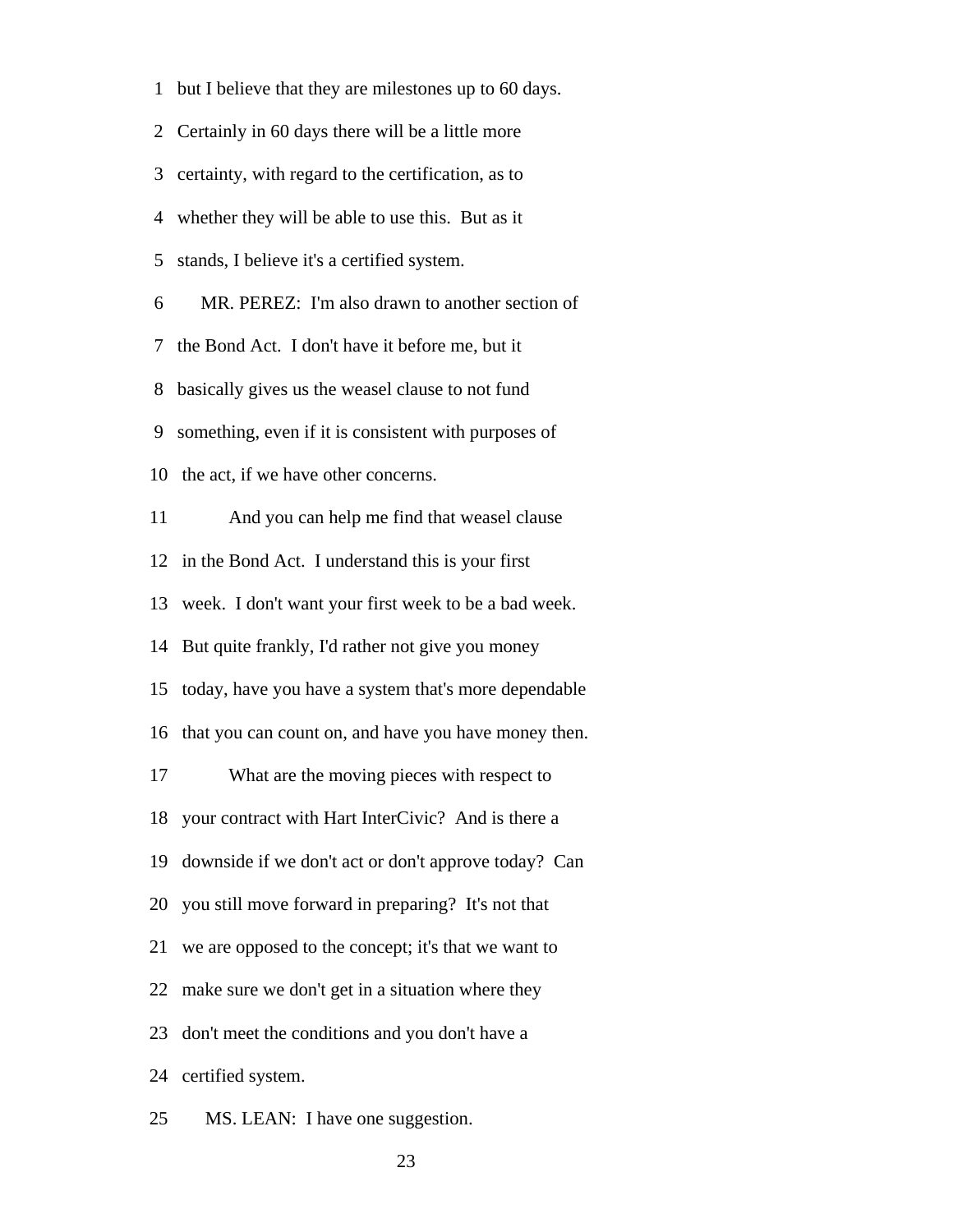1 but I believe that they are milestones up to 60 days. 2 Certainly in 60 days there will be a little more 3 certainty, with regard to the certification, as to 4 whether they will be able to use this. But as it 5 stands, I believe it's a certified system. 6 MR. PEREZ: I'm also drawn to another section of 7 the Bond Act. I don't have it before me, but it 8 basically gives us the weasel clause to not fund 9 something, even if it is consistent with purposes of 10 the act, if we have other concerns. 11 And you can help me find that weasel clause 12 in the Bond Act. I understand this is your first 13 week. I don't want your first week to be a bad week. 14 But quite frankly, I'd rather not give you money 15 today, have you have a system that's more dependable 16 that you can count on, and have you have money then. 17 What are the moving pieces with respect to 18 your contract with Hart InterCivic? And is there a 19 downside if we don't act or don't approve today? Can 20 you still move forward in preparing? It's not that 21 we are opposed to the concept; it's that we want to 22 make sure we don't get in a situation where they 23 don't meet the conditions and you don't have a 24 certified system.

25 MS. LEAN: I have one suggestion.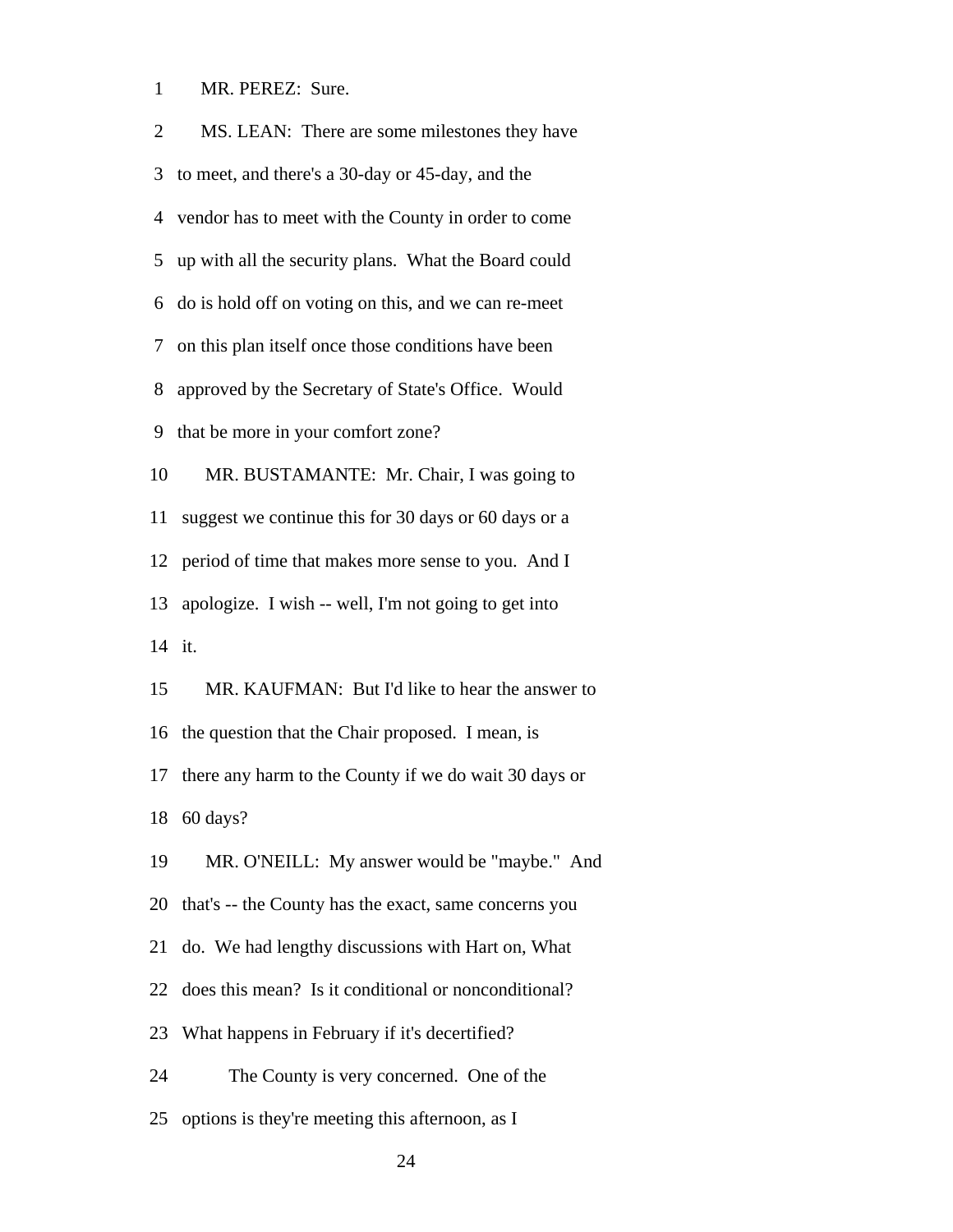1 MR. PEREZ: Sure.

| $\overline{2}$ | MS. LEAN: There are some milestones they have         |
|----------------|-------------------------------------------------------|
| 3              | to meet, and there's a 30-day or 45-day, and the      |
|                | 4 vendor has to meet with the County in order to come |
| 5              | up with all the security plans. What the Board could  |
| 6              | do is hold off on voting on this, and we can re-meet  |
| 7              | on this plan itself once those conditions have been   |
| 8              | approved by the Secretary of State's Office. Would    |
| 9              | that be more in your comfort zone?                    |
| 10             | MR. BUSTAMANTE: Mr. Chair, I was going to             |
| 11             | suggest we continue this for 30 days or 60 days or a  |
| 12             | period of time that makes more sense to you. And I    |
| 13             | apologize. I wish -- well, I'm not going to get into  |
|                | 14 it.                                                |
| 15             | MR. KAUFMAN: But I'd like to hear the answer to       |
|                | 16 the question that the Chair proposed. I mean, is   |
| 17             | there any harm to the County if we do wait 30 days or |
|                | 18 60 days?                                           |
| 19             | MR. O'NEILL: My answer would be "maybe." And          |
| 20             | that's -- the County has the exact, same concerns you |
| 21             | do. We had lengthy discussions with Hart on, What     |
| 22             | does this mean? Is it conditional or nonconditional?  |
| 23             | What happens in February if it's decertified?         |
| 24             | The County is very concerned. One of the              |
| 25             | options is they're meeting this afternoon, as I       |
|                |                                                       |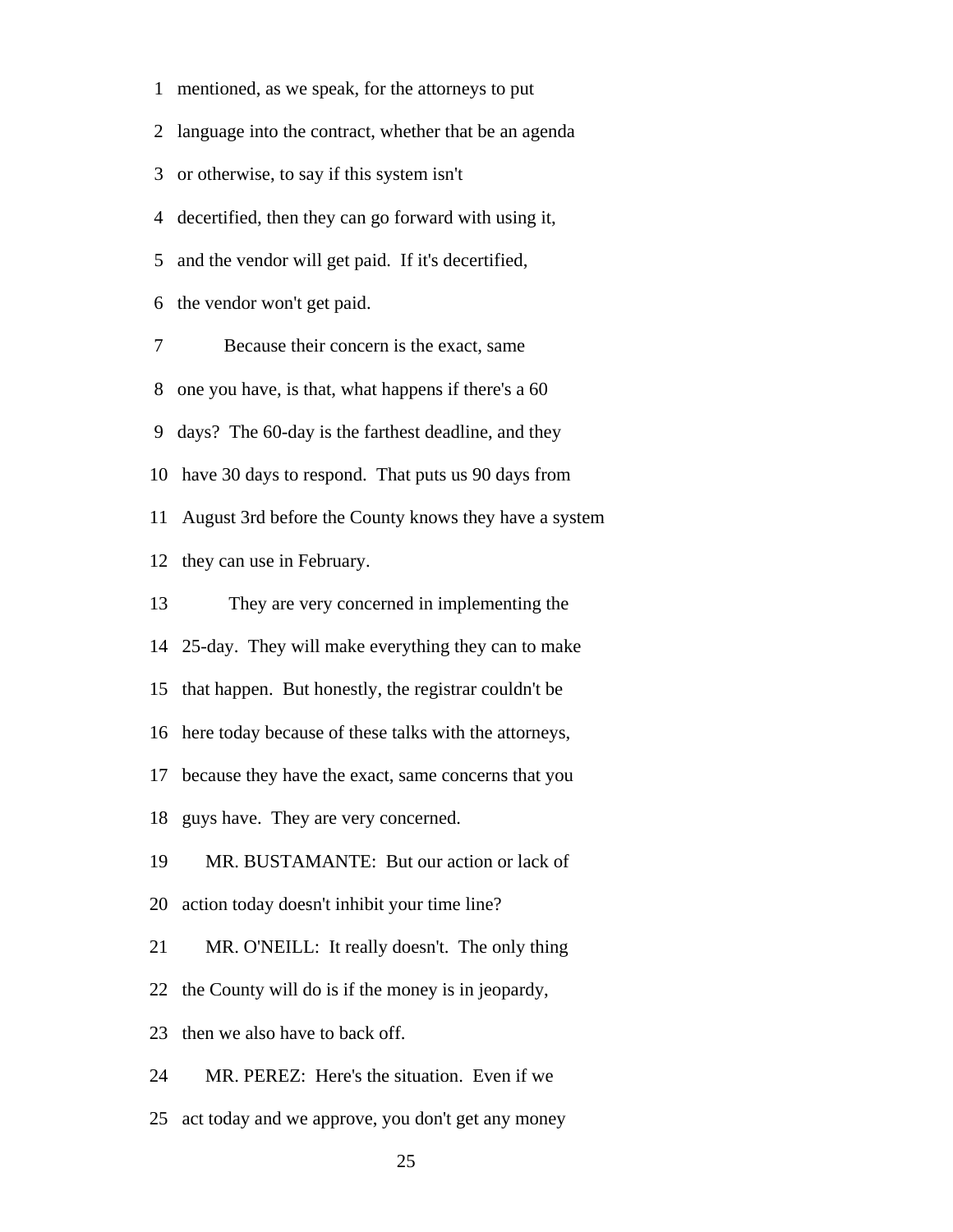1 mentioned, as we speak, for the attorneys to put

2 language into the contract, whether that be an agenda

3 or otherwise, to say if this system isn't

4 decertified, then they can go forward with using it,

5 and the vendor will get paid. If it's decertified,

6 the vendor won't get paid.

 7 Because their concern is the exact, same 8 one you have, is that, what happens if there's a 60 9 days? The 60-day is the farthest deadline, and they 10 have 30 days to respond. That puts us 90 days from 11 August 3rd before the County knows they have a system 12 they can use in February.

 13 They are very concerned in implementing the 14 25-day. They will make everything they can to make 15 that happen. But honestly, the registrar couldn't be 16 here today because of these talks with the attorneys, 17 because they have the exact, same concerns that you 18 guys have. They are very concerned. 19 MR. BUSTAMANTE: But our action or lack of 20 action today doesn't inhibit your time line? 21 MR. O'NEILL: It really doesn't. The only thing 22 the County will do is if the money is in jeopardy, 23 then we also have to back off.

24 MR. PEREZ: Here's the situation. Even if we

25 act today and we approve, you don't get any money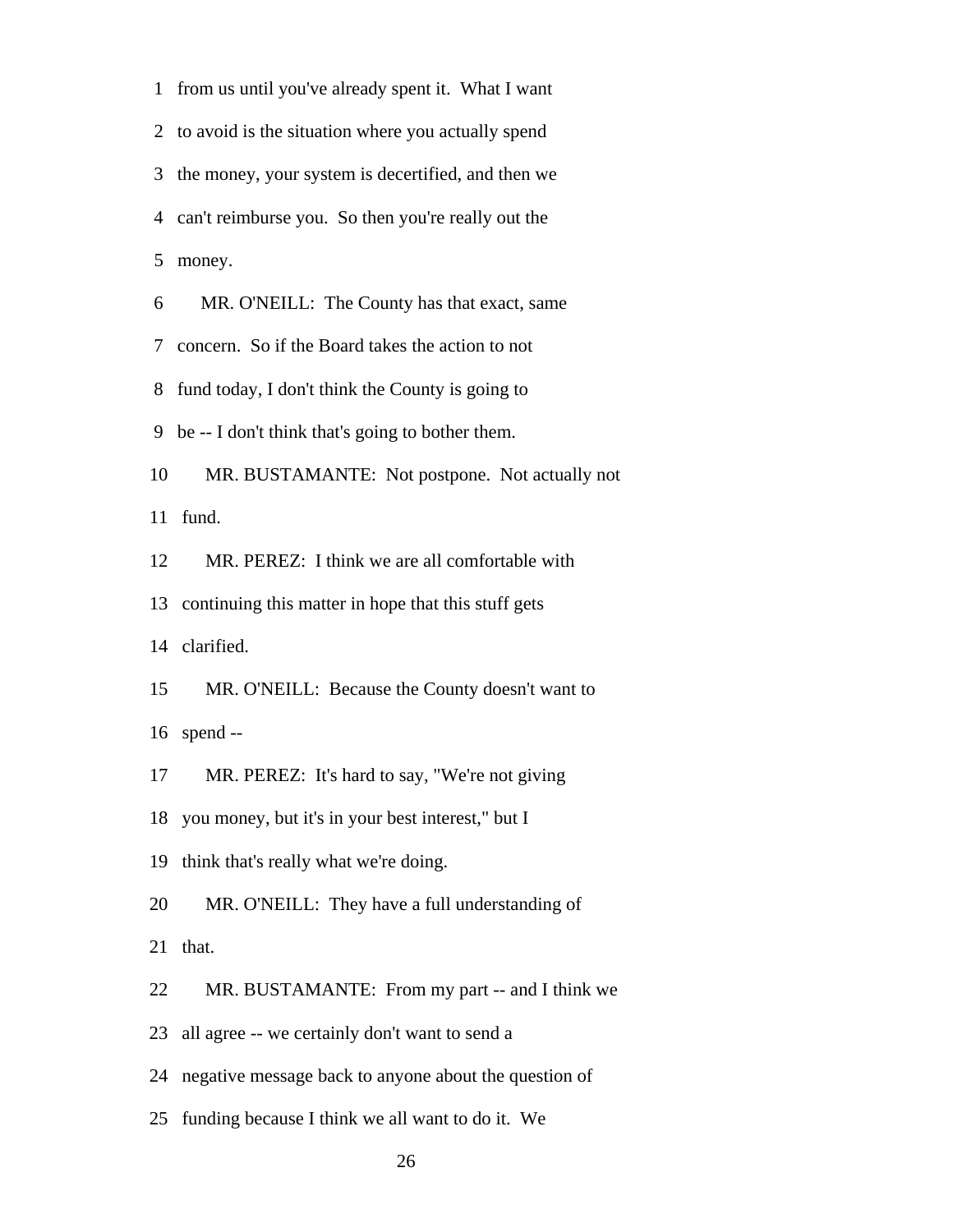1 from us until you've already spent it. What I want 2 to avoid is the situation where you actually spend 3 the money, your system is decertified, and then we 4 can't reimburse you. So then you're really out the 5 money.

6 MR. O'NEILL: The County has that exact, same

7 concern. So if the Board takes the action to not

8 fund today, I don't think the County is going to

9 be -- I don't think that's going to bother them.

 10 MR. BUSTAMANTE: Not postpone. Not actually not 11 fund.

12 MR. PEREZ: I think we are all comfortable with

13 continuing this matter in hope that this stuff gets

14 clarified.

 15 MR. O'NEILL: Because the County doesn't want to 16 spend --

17 MR. PEREZ: It's hard to say, "We're not giving

18 you money, but it's in your best interest," but I

19 think that's really what we're doing.

20 MR. O'NEILL: They have a full understanding of

21 that.

22 MR. BUSTAMANTE: From my part -- and I think we

23 all agree -- we certainly don't want to send a

24 negative message back to anyone about the question of

25 funding because I think we all want to do it. We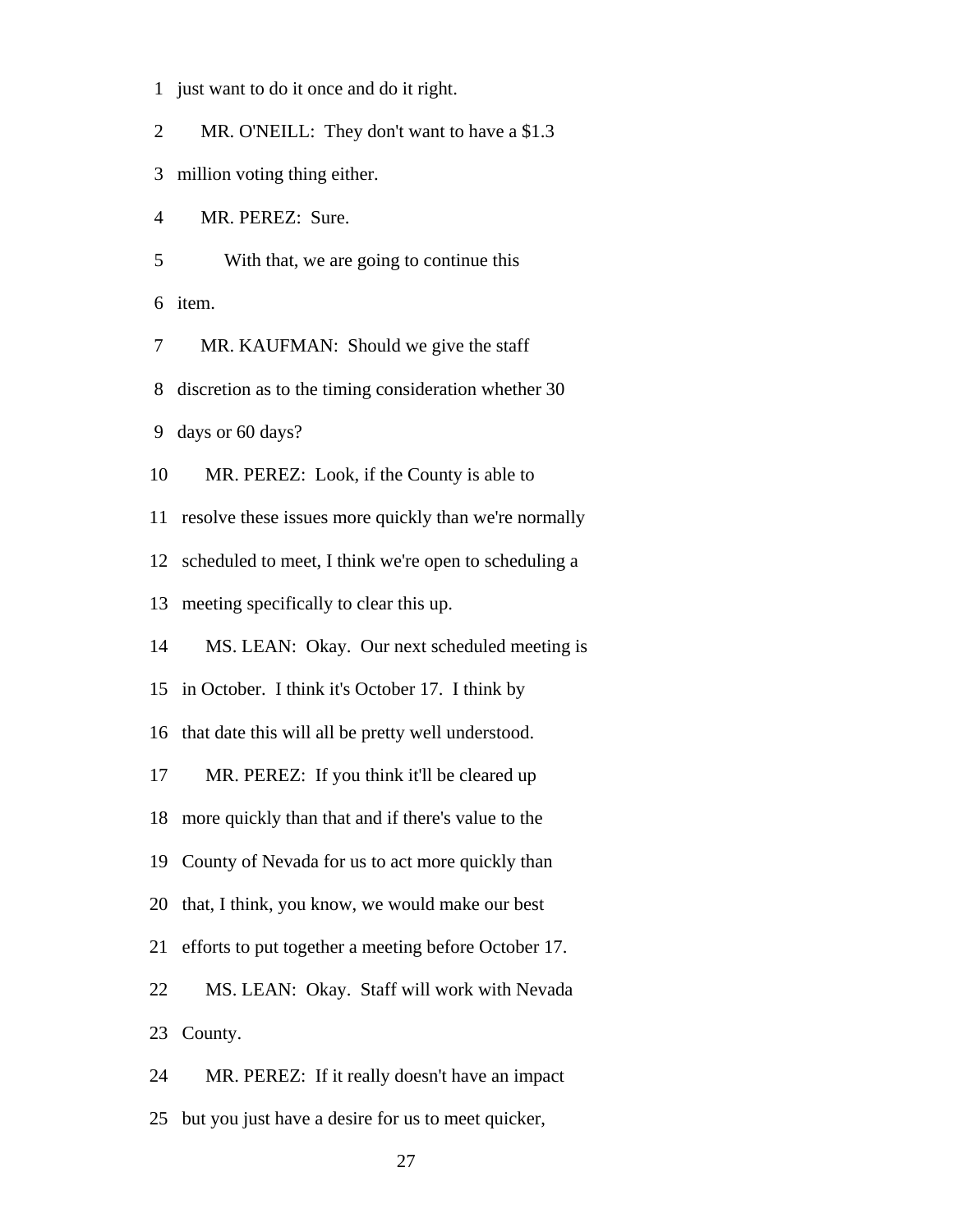1 just want to do it once and do it right.

2 MR. O'NEILL: They don't want to have a \$1.3

3 million voting thing either.

4 MR. PEREZ: Sure.

5 With that, we are going to continue this

6 item.

7 MR. KAUFMAN: Should we give the staff

8 discretion as to the timing consideration whether 30

9 days or 60 days?

10 MR. PEREZ: Look, if the County is able to

11 resolve these issues more quickly than we're normally

12 scheduled to meet, I think we're open to scheduling a

13 meeting specifically to clear this up.

14 MS. LEAN: Okay. Our next scheduled meeting is

15 in October. I think it's October 17. I think by

16 that date this will all be pretty well understood.

17 MR. PEREZ: If you think it'll be cleared up

18 more quickly than that and if there's value to the

19 County of Nevada for us to act more quickly than

20 that, I think, you know, we would make our best

21 efforts to put together a meeting before October 17.

22 MS. LEAN: Okay. Staff will work with Nevada

23 County.

24 MR. PEREZ: If it really doesn't have an impact

25 but you just have a desire for us to meet quicker,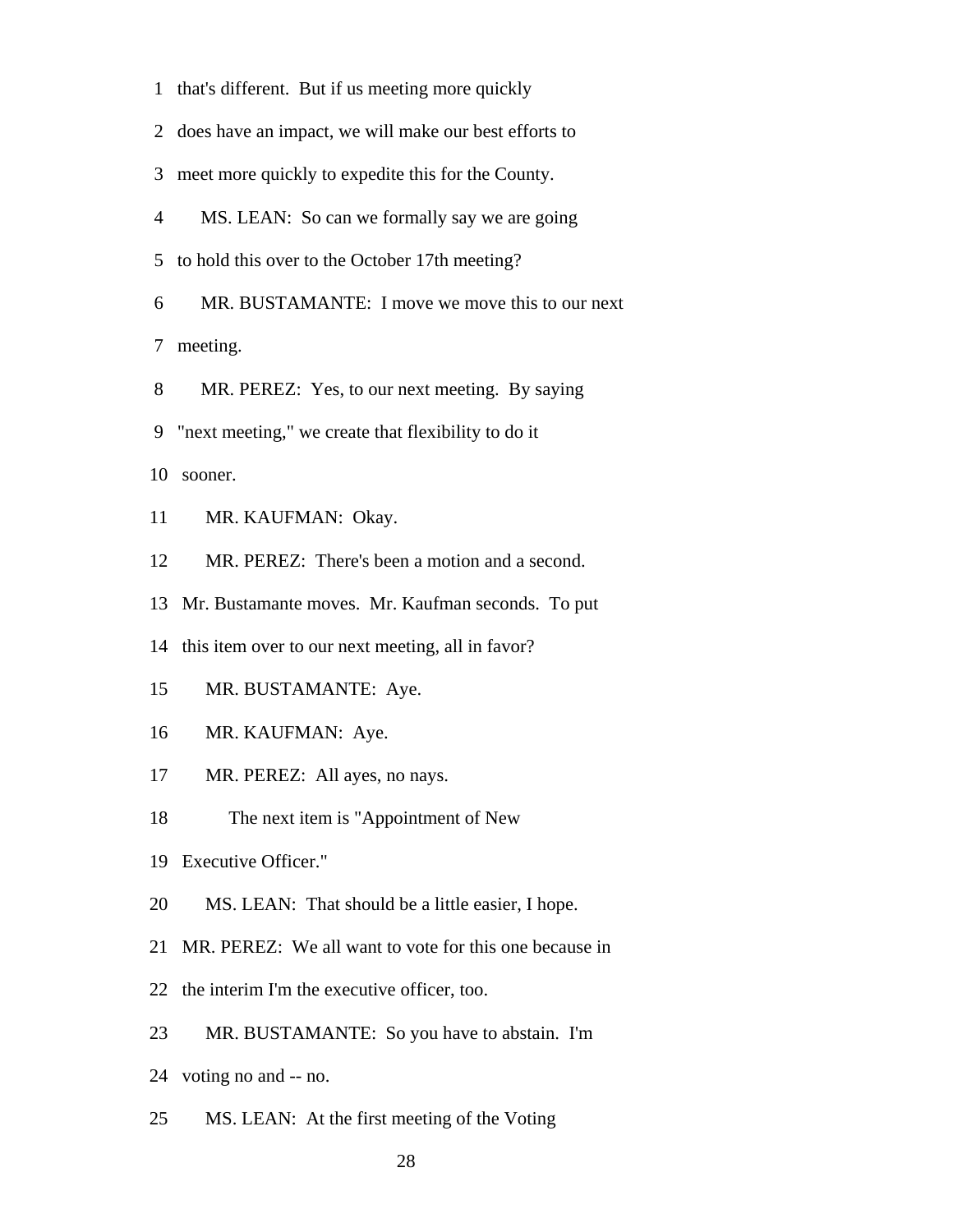1 that's different. But if us meeting more quickly

2 does have an impact, we will make our best efforts to

3 meet more quickly to expedite this for the County.

4 MS. LEAN: So can we formally say we are going

5 to hold this over to the October 17th meeting?

6 MR. BUSTAMANTE: I move we move this to our next

7 meeting.

8 MR. PEREZ: Yes, to our next meeting. By saying

9 "next meeting," we create that flexibility to do it

10 sooner.

11 MR. KAUFMAN: Okay.

12 MR. PEREZ: There's been a motion and a second.

13 Mr. Bustamante moves. Mr. Kaufman seconds. To put

14 this item over to our next meeting, all in favor?

- 15 MR. BUSTAMANTE: Aye.
- 16 MR. KAUFMAN: Aye.
- 17 MR. PEREZ: All ayes, no nays.
- 18 The next item is "Appointment of New
- 19 Executive Officer."
- 20 MS. LEAN: That should be a little easier, I hope.
- 21 MR. PEREZ: We all want to vote for this one because in
- 22 the interim I'm the executive officer, too.
- 23 MR. BUSTAMANTE: So you have to abstain. I'm
- 24 voting no and -- no.
- 25 MS. LEAN: At the first meeting of the Voting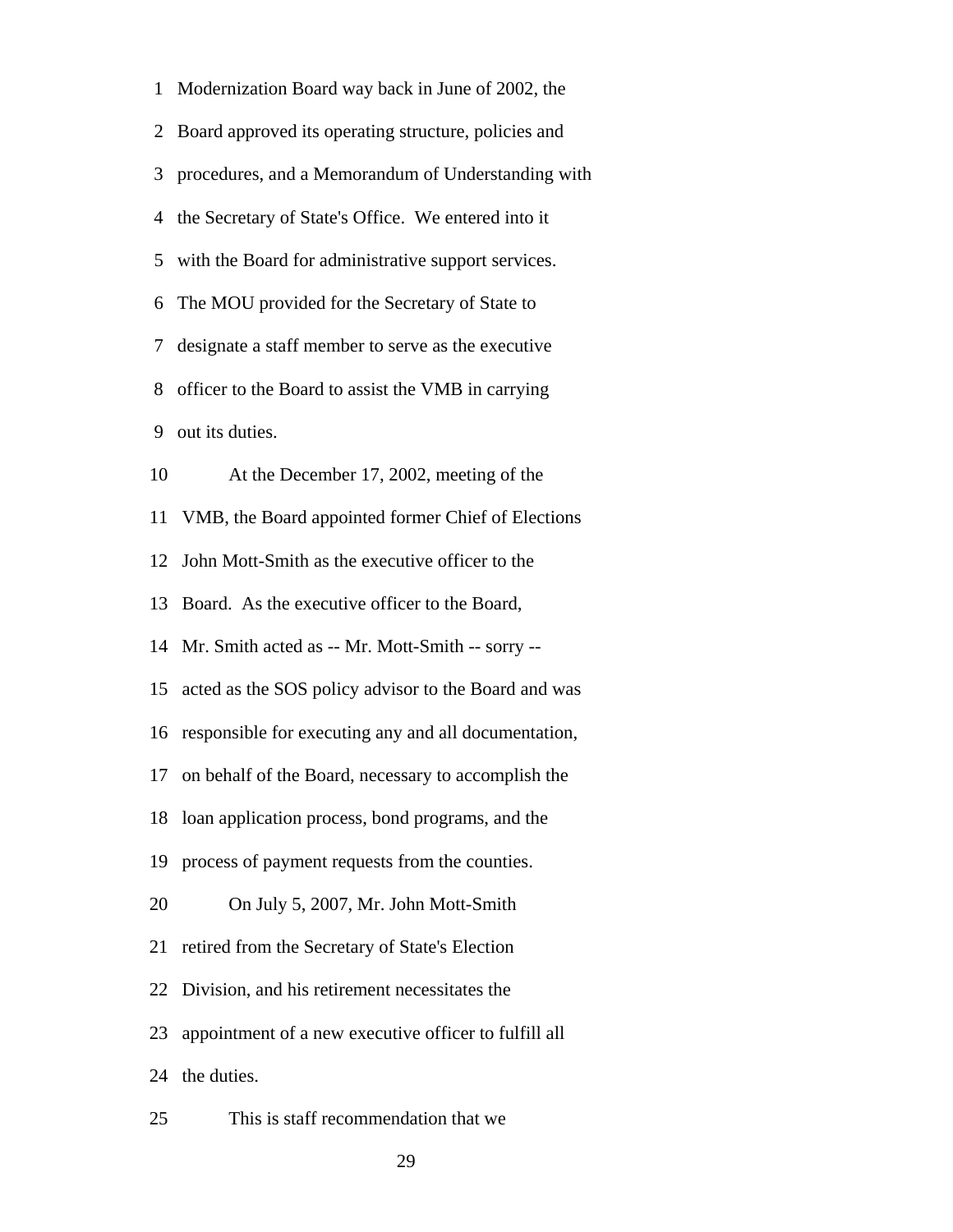1 Modernization Board way back in June of 2002, the 2 Board approved its operating structure, policies and 3 procedures, and a Memorandum of Understanding with 4 the Secretary of State's Office. We entered into it 5 with the Board for administrative support services. 6 The MOU provided for the Secretary of State to 7 designate a staff member to serve as the executive 8 officer to the Board to assist the VMB in carrying 9 out its duties. 10 At the December 17, 2002, meeting of the 11 VMB, the Board appointed former Chief of Elections 12 John Mott-Smith as the executive officer to the 13 Board. As the executive officer to the Board, 14 Mr. Smith acted as -- Mr. Mott-Smith -- sorry -- 15 acted as the SOS policy advisor to the Board and was 16 responsible for executing any and all documentation, 17 on behalf of the Board, necessary to accomplish the 18 loan application process, bond programs, and the 19 process of payment requests from the counties. 20 On July 5, 2007, Mr. John Mott-Smith 21 retired from the Secretary of State's Election 22 Division, and his retirement necessitates the 23 appointment of a new executive officer to fulfill all 24 the duties. 25 This is staff recommendation that we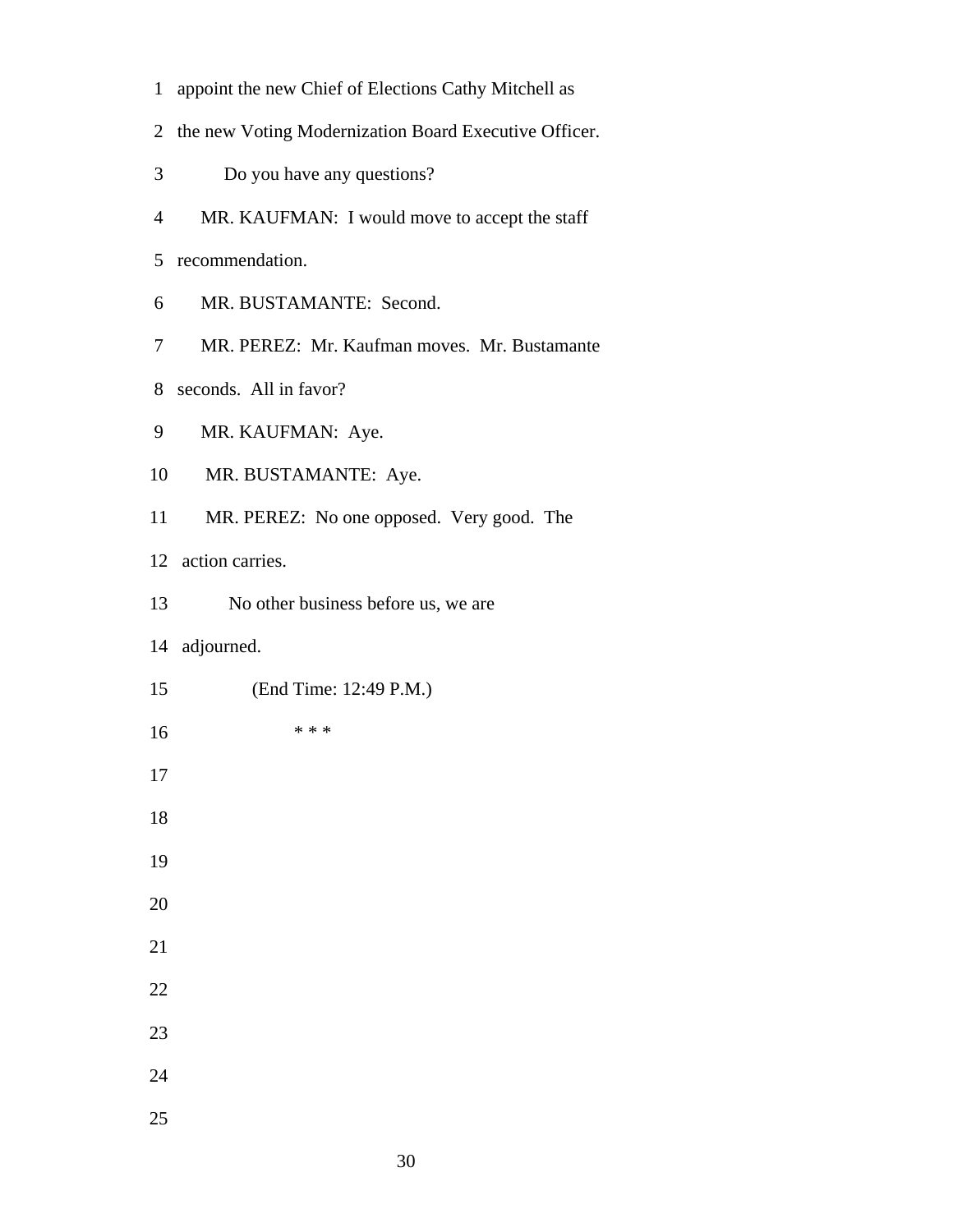- 1 appoint the new Chief of Elections Cathy Mitchell as
- 2 the new Voting Modernization Board Executive Officer.
- 3 Do you have any questions?
- 4 MR. KAUFMAN: I would move to accept the staff
- 5 recommendation.
- 6 MR. BUSTAMANTE: Second.
- 7 MR. PEREZ: Mr. Kaufman moves. Mr. Bustamante
- 8 seconds. All in favor?
- 9 MR. KAUFMAN: Aye.
- 10 MR. BUSTAMANTE: Aye.
- 11 MR. PEREZ: No one opposed. Very good. The

12 action carries.

- 13 No other business before us, we are
- 14 adjourned.
- 15 (End Time: 12:49 P.M.) 16 \* \* \* 17 18 19 20 21 22 23 24 25